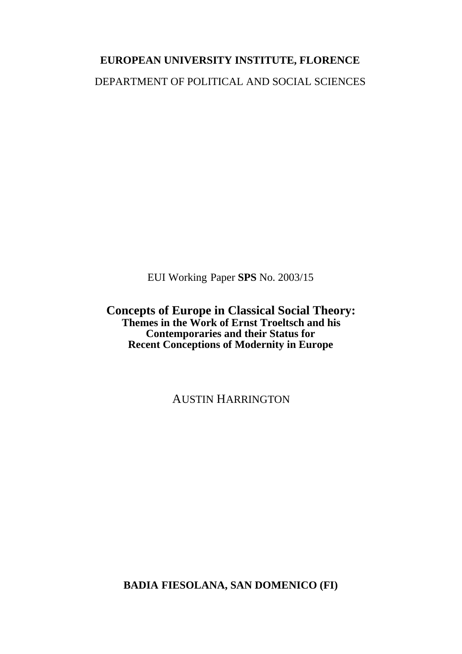# **EUROPEAN UNIVERSITY INSTITUTE, FLORENCE** DEPARTMENT OF POLITICAL AND SOCIAL SCIENCES

EUI Working Paper **SPS** No. 2003/15

**Concepts of Europe in Classical Social Theory: Themes in the Work of Ernst Troeltsch and his Contemporaries and their Status for Recent Conceptions of Modernity in Europe**

AUSTIN HARRINGTON

**BADIA FIESOLANA, SAN DOMENICO (FI)**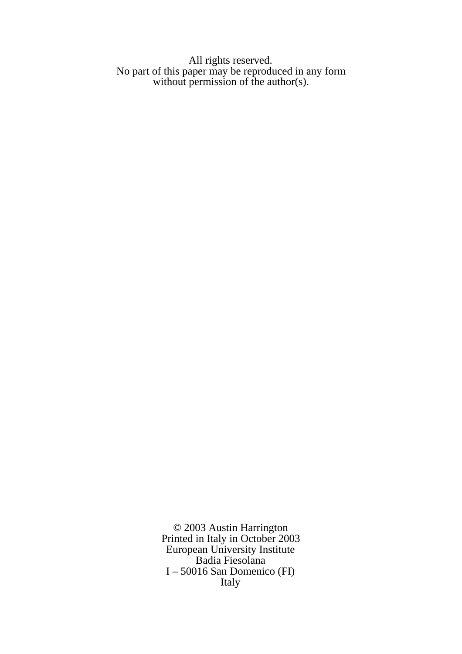All rights reserved. No part of this paper may be reproduced in any form without permission of the author(s).

> © 2003 Austin Harrington Printed in Italy in October 2003 European University Institute Badia Fiesolana I – 50016 San Domenico (FI) Italy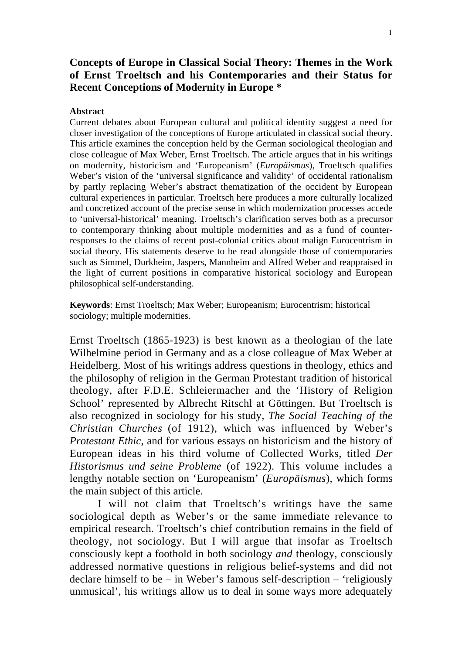## **Concepts of Europe in Classical Social Theory: Themes in the Work of Ernst Troeltsch and his Contemporaries and their Status for Recent Conceptions of Modernity in Europe \***

#### **Abstract**

Current debates about European cultural and political identity suggest a need for closer investigation of the conceptions of Europe articulated in classical social theory. This article examines the conception held by the German sociological theologian and close colleague of Max Weber, Ernst Troeltsch. The article argues that in his writings on modernity, historicism and 'Europeanism' (*Europäismus*), Troeltsch qualifies Weber's vision of the 'universal significance and validity' of occidental rationalism by partly replacing Weber's abstract thematization of the occident by European cultural experiences in particular. Troeltsch here produces a more culturally localized and concretized account of the precise sense in which modernization processes accede to 'universal-historical' meaning. Troeltsch's clarification serves both as a precursor to contemporary thinking about multiple modernities and as a fund of counterresponses to the claims of recent post-colonial critics about malign Eurocentrism in social theory. His statements deserve to be read alongside those of contemporaries such as Simmel, Durkheim, Jaspers, Mannheim and Alfred Weber and reappraised in the light of current positions in comparative historical sociology and European philosophical self-understanding.

**Keywords**: Ernst Troeltsch; Max Weber; Europeanism; Eurocentrism; historical sociology; multiple modernities.

Ernst Troeltsch (1865-1923) is best known as a theologian of the late Wilhelmine period in Germany and as a close colleague of Max Weber at Heidelberg. Most of his writings address questions in theology, ethics and the philosophy of religion in the German Protestant tradition of historical theology, after F.D.E. Schleiermacher and the 'History of Religion School' represented by Albrecht Ritschl at Göttingen. But Troeltsch is also recognized in sociology for his study, *The Social Teaching of the Christian Churches* (of 1912), which was influenced by Weber's *Protestant Ethic*, and for various essays on historicism and the history of European ideas in his third volume of Collected Works, titled *Der Historismus und seine Probleme* (of 1922). This volume includes a lengthy notable section on 'Europeanism' (*Europäismus*), which forms the main subject of this article.

I will not claim that Troeltsch's writings have the same sociological depth as Weber's or the same immediate relevance to empirical research. Troeltsch's chief contribution remains in the field of theology, not sociology. But I will argue that insofar as Troeltsch consciously kept a foothold in both sociology *and* theology, consciously addressed normative questions in religious belief-systems and did not declare himself to be – in Weber's famous self-description – 'religiously unmusical', his writings allow us to deal in some ways more adequately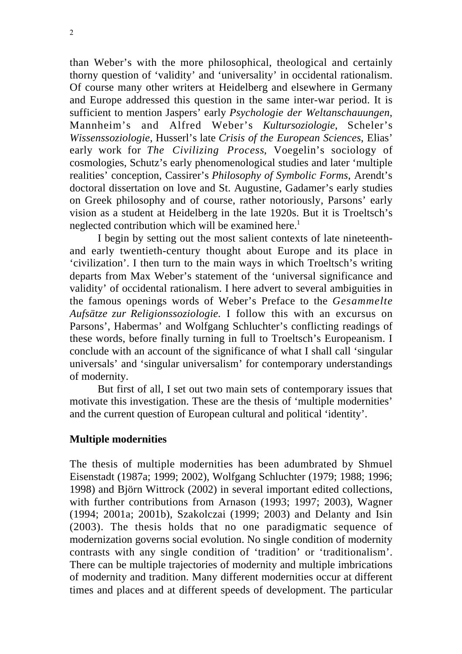than Weber's with the more philosophical, theological and certainly thorny question of 'validity' and 'universality' in occidental rationalism. Of course many other writers at Heidelberg and elsewhere in Germany and Europe addressed this question in the same inter-war period. It is sufficient to mention Jaspers' early *Psychologie der Weltanschauungen*, Mannheim's and Alfred Weber's *Kultursoziologie*, Scheler's *Wissenssoziologie*, Husserl's late *Crisis of the European Sciences*, Elias' early work for *The Civilizing Process*, Voegelin's sociology of cosmologies, Schutz's early phenomenological studies and later 'multiple realities' conception, Cassirer's *Philosophy of Symbolic Forms*, Arendt's doctoral dissertation on love and St. Augustine, Gadamer's early studies on Greek philosophy and of course, rather notoriously, Parsons' early vision as a student at Heidelberg in the late 1920s. But it is Troeltsch's neglected contribution which will be examined here.<sup>1</sup>

I begin by setting out the most salient contexts of late nineteenthand early twentieth-century thought about Europe and its place in 'civilization'. I then turn to the main ways in which Troeltsch's writing departs from Max Weber's statement of the 'universal significance and validity' of occidental rationalism. I here advert to several ambiguities in the famous openings words of Weber's Preface to the *Gesammelte Aufsätze zur Religionssoziologie*. I follow this with an excursus on Parsons', Habermas' and Wolfgang Schluchter's conflicting readings of these words, before finally turning in full to Troeltsch's Europeanism. I conclude with an account of the significance of what I shall call 'singular universals' and 'singular universalism' for contemporary understandings of modernity.

But first of all, I set out two main sets of contemporary issues that motivate this investigation. These are the thesis of 'multiple modernities' and the current question of European cultural and political 'identity'.

### **Multiple modernities**

The thesis of multiple modernities has been adumbrated by Shmuel Eisenstadt (1987a; 1999; 2002), Wolfgang Schluchter (1979; 1988; 1996; 1998) and Björn Wittrock (2002) in several important edited collections, with further contributions from Arnason (1993; 1997; 2003), Wagner (1994; 2001a; 2001b), Szakolczai (1999; 2003) and Delanty and Isin (2003). The thesis holds that no one paradigmatic sequence of modernization governs social evolution. No single condition of modernity contrasts with any single condition of 'tradition' or 'traditionalism'. There can be multiple trajectories of modernity and multiple imbrications of modernity and tradition. Many different modernities occur at different times and places and at different speeds of development. The particular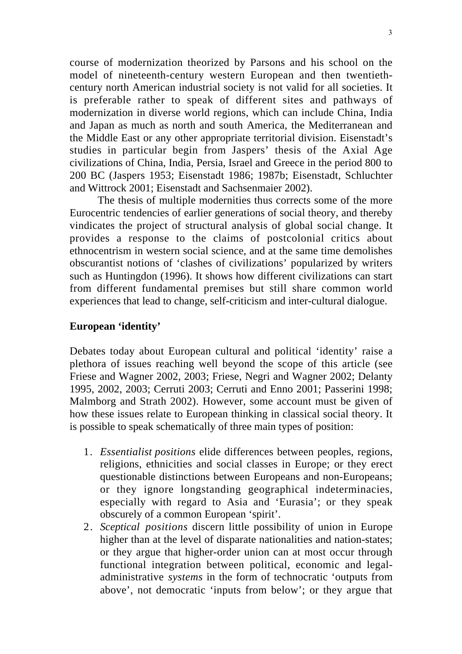course of modernization theorized by Parsons and his school on the model of nineteenth-century western European and then twentiethcentury north American industrial society is not valid for all societies. It is preferable rather to speak of different sites and pathways of modernization in diverse world regions, which can include China, India and Japan as much as north and south America, the Mediterranean and the Middle East or any other appropriate territorial division. Eisenstadt's studies in particular begin from Jaspers' thesis of the Axial Age civilizations of China, India, Persia, Israel and Greece in the period 800 to 200 BC (Jaspers 1953; Eisenstadt 1986; 1987b; Eisenstadt, Schluchter and Wittrock 2001; Eisenstadt and Sachsenmaier 2002).

The thesis of multiple modernities thus corrects some of the more Eurocentric tendencies of earlier generations of social theory, and thereby vindicates the project of structural analysis of global social change. It provides a response to the claims of postcolonial critics about ethnocentrism in western social science, and at the same time demolishes obscurantist notions of 'clashes of civilizations' popularized by writers such as Huntingdon (1996). It shows how different civilizations can start from different fundamental premises but still share common world experiences that lead to change, self-criticism and inter-cultural dialogue.

## **European 'identity'**

Debates today about European cultural and political 'identity' raise a plethora of issues reaching well beyond the scope of this article (see Friese and Wagner 2002, 2003; Friese, Negri and Wagner 2002; Delanty 1995, 2002, 2003; Cerruti 2003; Cerruti and Enno 2001; Passerini 1998; Malmborg and Strath 2002). However, some account must be given of how these issues relate to European thinking in classical social theory. It is possible to speak schematically of three main types of position:

- 1. *Essentialist positions* elide differences between peoples, regions, religions, ethnicities and social classes in Europe; or they erect questionable distinctions between Europeans and non-Europeans; or they ignore longstanding geographical indeterminacies, especially with regard to Asia and 'Eurasia'; or they speak obscurely of a common European 'spirit'.
- 2. *Sceptical positions* discern little possibility of union in Europe higher than at the level of disparate nationalities and nation-states; or they argue that higher-order union can at most occur through functional integration between political, economic and legaladministrative *systems* in the form of technocratic 'outputs from above', not democratic 'inputs from below'; or they argue that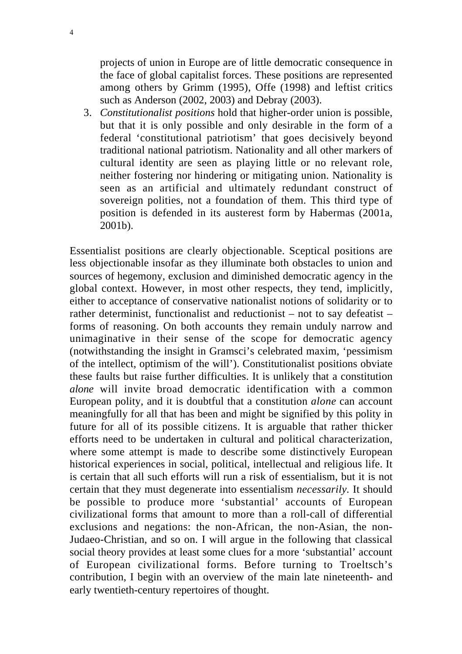projects of union in Europe are of little democratic consequence in the face of global capitalist forces. These positions are represented among others by Grimm (1995), Offe (1998) and leftist critics such as Anderson (2002, 2003) and Debray (2003).

3. *Constitutionalist positions* hold that higher-order union is possible, but that it is only possible and only desirable in the form of a federal 'constitutional patriotism' that goes decisively beyond traditional national patriotism. Nationality and all other markers of cultural identity are seen as playing little or no relevant role, neither fostering nor hindering or mitigating union. Nationality is seen as an artificial and ultimately redundant construct of sovereign polities, not a foundation of them. This third type of position is defended in its austerest form by Habermas (2001a, 2001b).

Essentialist positions are clearly objectionable. Sceptical positions are less objectionable insofar as they illuminate both obstacles to union and sources of hegemony, exclusion and diminished democratic agency in the global context. However, in most other respects, they tend, implicitly, either to acceptance of conservative nationalist notions of solidarity or to rather determinist, functionalist and reductionist – not to say defeatist – forms of reasoning. On both accounts they remain unduly narrow and unimaginative in their sense of the scope for democratic agency (notwithstanding the insight in Gramsci's celebrated maxim, 'pessimism of the intellect, optimism of the will'). Constitutionalist positions obviate these faults but raise further difficulties. It is unlikely that a constitution *alone* will invite broad democratic identification with a common European polity, and it is doubtful that a constitution *alone* can account meaningfully for all that has been and might be signified by this polity in future for all of its possible citizens. It is arguable that rather thicker efforts need to be undertaken in cultural and political characterization, where some attempt is made to describe some distinctively European historical experiences in social, political, intellectual and religious life. It is certain that all such efforts will run a risk of essentialism, but it is not certain that they must degenerate into essentialism *necessarily*. It should be possible to produce more 'substantial' accounts of European civilizational forms that amount to more than a roll-call of differential exclusions and negations: the non-African, the non-Asian, the non-Judaeo-Christian, and so on. I will argue in the following that classical social theory provides at least some clues for a more 'substantial' account of European civilizational forms. Before turning to Troeltsch's contribution, I begin with an overview of the main late nineteenth- and early twentieth-century repertoires of thought.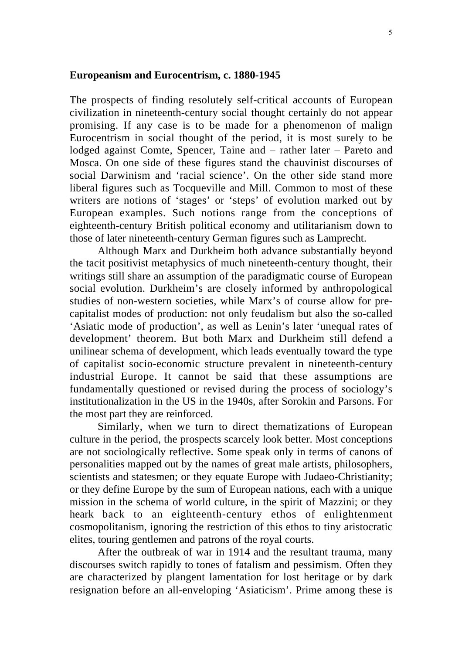#### **Europeanism and Eurocentrism, c. 1880-1945**

The prospects of finding resolutely self-critical accounts of European civilization in nineteenth-century social thought certainly do not appear promising. If any case is to be made for a phenomenon of malign Eurocentrism in social thought of the period, it is most surely to be lodged against Comte, Spencer, Taine and – rather later – Pareto and Mosca. On one side of these figures stand the chauvinist discourses of social Darwinism and 'racial science'. On the other side stand more liberal figures such as Tocqueville and Mill. Common to most of these writers are notions of 'stages' or 'steps' of evolution marked out by European examples. Such notions range from the conceptions of eighteenth-century British political economy and utilitarianism down to those of later nineteenth-century German figures such as Lamprecht.

Although Marx and Durkheim both advance substantially beyond the tacit positivist metaphysics of much nineteenth-century thought, their writings still share an assumption of the paradigmatic course of European social evolution. Durkheim's are closely informed by anthropological studies of non-western societies, while Marx's of course allow for precapitalist modes of production: not only feudalism but also the so-called 'Asiatic mode of production', as well as Lenin's later 'unequal rates of development' theorem. But both Marx and Durkheim still defend a unilinear schema of development, which leads eventually toward the type of capitalist socio-economic structure prevalent in nineteenth-century industrial Europe. It cannot be said that these assumptions are fundamentally questioned or revised during the process of sociology's institutionalization in the US in the 1940s, after Sorokin and Parsons. For the most part they are reinforced.

Similarly, when we turn to direct thematizations of European culture in the period, the prospects scarcely look better. Most conceptions are not sociologically reflective. Some speak only in terms of canons of personalities mapped out by the names of great male artists, philosophers, scientists and statesmen; or they equate Europe with Judaeo-Christianity; or they define Europe by the sum of European nations, each with a unique mission in the schema of world culture, in the spirit of Mazzini; or they heark back to an eighteenth-century ethos of enlightenment cosmopolitanism, ignoring the restriction of this ethos to tiny aristocratic elites, touring gentlemen and patrons of the royal courts.

After the outbreak of war in 1914 and the resultant trauma, many discourses switch rapidly to tones of fatalism and pessimism. Often they are characterized by plangent lamentation for lost heritage or by dark resignation before an all-enveloping 'Asiaticism'. Prime among these is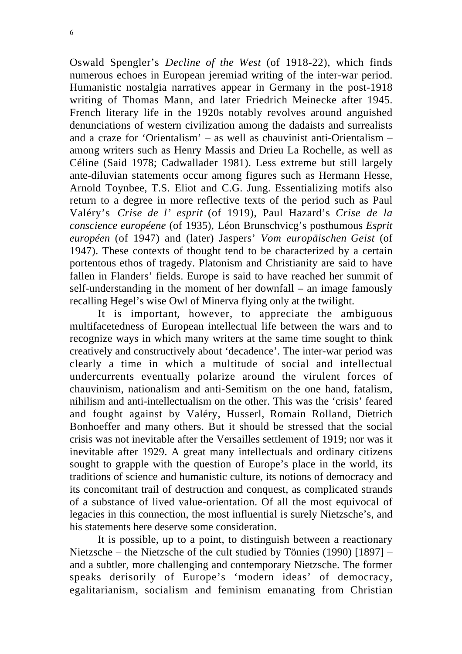Oswald Spengler's *Decline of the West* (of 1918-22), which finds numerous echoes in European jeremiad writing of the inter-war period. Humanistic nostalgia narratives appear in Germany in the post-1918 writing of Thomas Mann, and later Friedrich Meinecke after 1945. French literary life in the 1920s notably revolves around anguished denunciations of western civilization among the dadaists and surrealists and a craze for 'Orientalism' – as well as chauvinist anti-Orientalism – among writers such as Henry Massis and Drieu La Rochelle, as well as Céline (Said 1978; Cadwallader 1981). Less extreme but still largely ante-diluvian statements occur among figures such as Hermann Hesse, Arnold Toynbee, T.S. Eliot and C.G. Jung. Essentializing motifs also return to a degree in more reflective texts of the period such as Paul Valéry's *Crise de l' esprit* (of 1919), Paul Hazard's *Crise de la conscience européene* (of 1935), Léon Brunschvicg's posthumous *Esprit européen* (of 1947) and (later) Jaspers' *Vom europäischen Geist* (of 1947). These contexts of thought tend to be characterized by a certain portentous ethos of tragedy. Platonism and Christianity are said to have fallen in Flanders' fields. Europe is said to have reached her summit of self-understanding in the moment of her downfall – an image famously recalling Hegel's wise Owl of Minerva flying only at the twilight.

It is important, however, to appreciate the ambiguous multifacetedness of European intellectual life between the wars and to recognize ways in which many writers at the same time sought to think creatively and constructively about 'decadence'. The inter-war period was clearly a time in which a multitude of social and intellectual undercurrents eventually polarize around the virulent forces of chauvinism, nationalism and anti-Semitism on the one hand, fatalism, nihilism and anti-intellectualism on the other. This was the 'crisis' feared and fought against by Valéry, Husserl, Romain Rolland, Dietrich Bonhoeffer and many others. But it should be stressed that the social crisis was not inevitable after the Versailles settlement of 1919; nor was it inevitable after 1929. A great many intellectuals and ordinary citizens sought to grapple with the question of Europe's place in the world, its traditions of science and humanistic culture, its notions of democracy and its concomitant trail of destruction and conquest, as complicated strands of a substance of lived value-orientation. Of all the most equivocal of legacies in this connection, the most influential is surely Nietzsche's, and his statements here deserve some consideration.

It is possible, up to a point, to distinguish between a reactionary Nietzsche – the Nietzsche of the cult studied by Tönnies (1990) [1897] – and a subtler, more challenging and contemporary Nietzsche. The former speaks derisorily of Europe's 'modern ideas' of democracy, egalitarianism, socialism and feminism emanating from Christian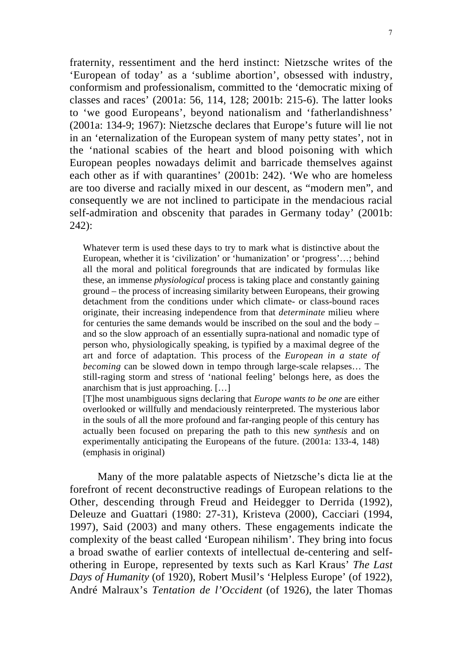fraternity, ressentiment and the herd instinct: Nietzsche writes of the 'European of today' as a 'sublime abortion', obsessed with industry, conformism and professionalism, committed to the 'democratic mixing of classes and races' (2001a: 56, 114, 128; 2001b: 215-6). The latter looks to 'we good Europeans', beyond nationalism and 'fatherlandishness' (2001a: 134-9; 1967): Nietzsche declares that Europe's future will lie not in an 'eternalization of the European system of many petty states', not in the 'national scabies of the heart and blood poisoning with which European peoples nowadays delimit and barricade themselves against each other as if with quarantines' (2001b: 242). 'We who are homeless are too diverse and racially mixed in our descent, as "modern men", and consequently we are not inclined to participate in the mendacious racial self-admiration and obscenity that parades in Germany today' (2001b: 242):

Whatever term is used these days to try to mark what is distinctive about the European, whether it is 'civilization' or 'humanization' or 'progress'…; behind all the moral and political foregrounds that are indicated by formulas like these, an immense *physiological* process is taking place and constantly gaining ground – the process of increasing similarity between Europeans, their growing detachment from the conditions under which climate- or class-bound races originate, their increasing independence from that *determinate* milieu where for centuries the same demands would be inscribed on the soul and the body – and so the slow approach of an essentially supra-national and nomadic type of person who, physiologically speaking, is typified by a maximal degree of the art and force of adaptation. This process of the *European in a state of becoming* can be slowed down in tempo through large-scale relapses… The still-raging storm and stress of 'national feeling' belongs here, as does the anarchism that is just approaching. […]

[T]he most unambiguous signs declaring that *Europe wants to be one* are either overlooked or willfully and mendaciously reinterpreted. The mysterious labor in the souls of all the more profound and far-ranging people of this century has actually been focused on preparing the path to this new *synthesis* and on experimentally anticipating the Europeans of the future. (2001a: 133-4, 148) (emphasis in original)

Many of the more palatable aspects of Nietzsche's dicta lie at the forefront of recent deconstructive readings of European relations to the Other, descending through Freud and Heidegger to Derrida (1992), Deleuze and Guattari (1980: 27-31), Kristeva (2000), Cacciari (1994, 1997), Said (2003) and many others. These engagements indicate the complexity of the beast called 'European nihilism'. They bring into focus a broad swathe of earlier contexts of intellectual de-centering and selfothering in Europe, represented by texts such as Karl Kraus' *The Last Days of Humanity* (of 1920), Robert Musil's 'Helpless Europe' (of 1922), André Malraux's *Tentation de l'Occident* (of 1926), the later Thomas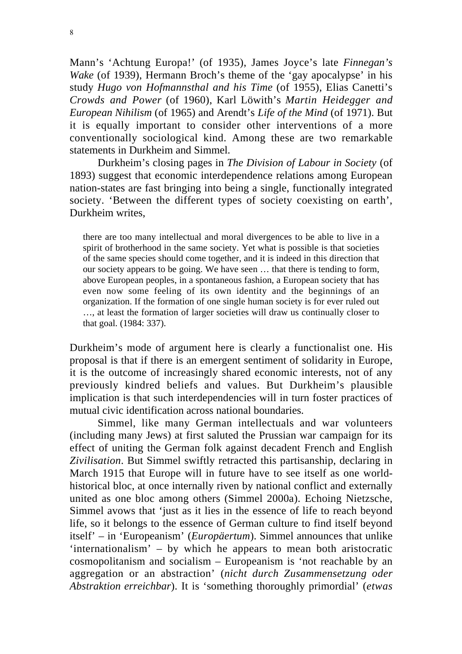Mann's 'Achtung Europa!' (of 1935), James Joyce's late *Finnegan's Wake* (of 1939), Hermann Broch's theme of the 'gay apocalypse' in his study *Hugo von Hofmannsthal and his Time* (of 1955), Elias Canetti's *Crowds and Power* (of 1960), Karl Löwith's *Martin Heidegger and European Nihilism* (of 1965) and Arendt's *Life of the Mind* (of 1971). But it is equally important to consider other interventions of a more conventionally sociological kind. Among these are two remarkable statements in Durkheim and Simmel.

Durkheim's closing pages in *The Division of Labour in Society* (of 1893) suggest that economic interdependence relations among European nation-states are fast bringing into being a single, functionally integrated society. 'Between the different types of society coexisting on earth', Durkheim writes,

there are too many intellectual and moral divergences to be able to live in a spirit of brotherhood in the same society. Yet what is possible is that societies of the same species should come together, and it is indeed in this direction that our society appears to be going. We have seen … that there is tending to form, above European peoples, in a spontaneous fashion, a European society that has even now some feeling of its own identity and the beginnings of an organization. If the formation of one single human society is for ever ruled out …, at least the formation of larger societies will draw us continually closer to that goal. (1984: 337).

Durkheim's mode of argument here is clearly a functionalist one. His proposal is that if there is an emergent sentiment of solidarity in Europe, it is the outcome of increasingly shared economic interests, not of any previously kindred beliefs and values. But Durkheim's plausible implication is that such interdependencies will in turn foster practices of mutual civic identification across national boundaries.

Simmel, like many German intellectuals and war volunteers (including many Jews) at first saluted the Prussian war campaign for its effect of uniting the German folk against decadent French and English *Zivilisation*. But Simmel swiftly retracted this partisanship, declaring in March 1915 that Europe will in future have to see itself as one worldhistorical bloc, at once internally riven by national conflict and externally united as one bloc among others (Simmel 2000a). Echoing Nietzsche, Simmel avows that 'just as it lies in the essence of life to reach beyond life, so it belongs to the essence of German culture to find itself beyond itself' – in 'Europeanism' (*Europäertum*). Simmel announces that unlike 'internationalism' – by which he appears to mean both aristocratic cosmopolitanism and socialism – Europeanism is 'not reachable by an aggregation or an abstraction' (*nicht durch Zusammensetzung oder Abstraktion erreichbar*). It is 'something thoroughly primordial' (*etwas*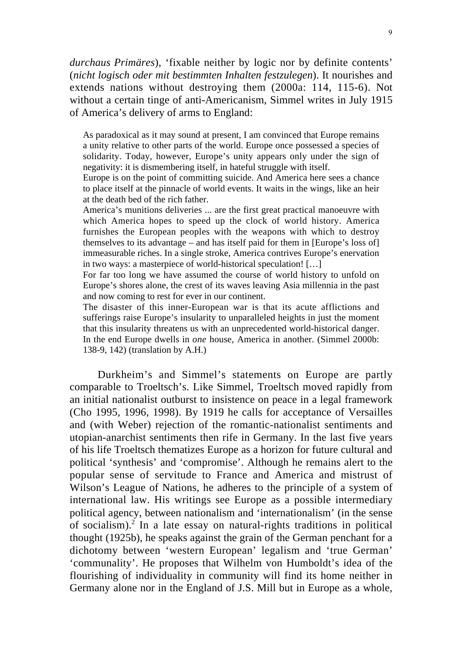*durchaus Primäres*), 'fixable neither by logic nor by definite contents' (*nicht logisch oder mit bestimmten Inhalten festzulegen*). It nourishes and extends nations without destroying them (2000a: 114, 115-6). Not without a certain tinge of anti-Americanism, Simmel writes in July 1915 of America's delivery of arms to England:

As paradoxical as it may sound at present, I am convinced that Europe remains a unity relative to other parts of the world. Europe once possessed a species of solidarity. Today, however, Europe's unity appears only under the sign of negativity: it is dismembering itself, in hateful struggle with itself.

Europe is on the point of committing suicide. And America here sees a chance to place itself at the pinnacle of world events. It waits in the wings, like an heir at the death bed of the rich father.

America's munitions deliveries ... are the first great practical manoeuvre with which America hopes to speed up the clock of world history. America furnishes the European peoples with the weapons with which to destroy themselves to its advantage – and has itself paid for them in [Europe's loss of] immeasurable riches. In a single stroke, America contrives Europe's enervation in two ways: a masterpiece of world-historical speculation! […]

For far too long we have assumed the course of world history to unfold on Europe's shores alone, the crest of its waves leaving Asia millennia in the past and now coming to rest for ever in our continent.

The disaster of this inner-European war is that its acute afflictions and sufferings raise Europe's insularity to unparalleled heights in just the moment that this insularity threatens us with an unprecedented world-historical danger. In the end Europe dwells in *one* house, America in another. (Simmel 2000b: 138-9, 142) (translation by A.H.)

Durkheim's and Simmel's statements on Europe are partly comparable to Troeltsch's. Like Simmel, Troeltsch moved rapidly from an initial nationalist outburst to insistence on peace in a legal framework (Cho 1995, 1996, 1998). By 1919 he calls for acceptance of Versailles and (with Weber) rejection of the romantic-nationalist sentiments and utopian-anarchist sentiments then rife in Germany. In the last five years of his life Troeltsch thematizes Europe as a horizon for future cultural and political 'synthesis' and 'compromise'. Although he remains alert to the popular sense of servitude to France and America and mistrust of Wilson's League of Nations, he adheres to the principle of a system of international law. His writings see Europe as a possible intermediary political agency, between nationalism and 'internationalism' (in the sense of socialism).<sup>2</sup> In a late essay on natural-rights traditions in political thought (1925b), he speaks against the grain of the German penchant for a dichotomy between 'western European' legalism and 'true German' 'communality'. He proposes that Wilhelm von Humboldt's idea of the flourishing of individuality in community will find its home neither in Germany alone nor in the England of J.S. Mill but in Europe as a whole,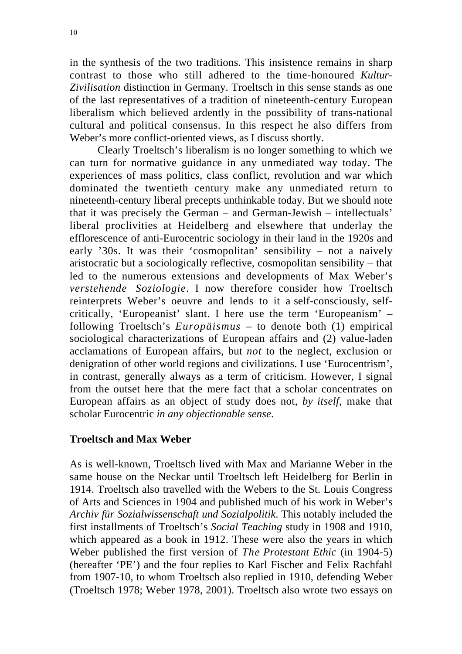in the synthesis of the two traditions. This insistence remains in sharp contrast to those who still adhered to the time-honoured *Kultur-Zivilisation* distinction in Germany. Troeltsch in this sense stands as one of the last representatives of a tradition of nineteenth-century European liberalism which believed ardently in the possibility of trans-national cultural and political consensus. In this respect he also differs from Weber's more conflict-oriented views, as I discuss shortly.

Clearly Troeltsch's liberalism is no longer something to which we can turn for normative guidance in any unmediated way today. The experiences of mass politics, class conflict, revolution and war which dominated the twentieth century make any unmediated return to nineteenth-century liberal precepts unthinkable today. But we should note that it was precisely the German – and German-Jewish – intellectuals' liberal proclivities at Heidelberg and elsewhere that underlay the efflorescence of anti-Eurocentric sociology in their land in the 1920s and early '30s. It was their 'cosmopolitan' sensibility – not a naively aristocratic but a sociologically reflective, cosmopolitan sensibility – that led to the numerous extensions and developments of Max Weber's *verstehende Soziologie*. I now therefore consider how Troeltsch reinterprets Weber's oeuvre and lends to it a self-consciously, selfcritically, 'Europeanist' slant. I here use the term 'Europeanism' – following Troeltsch's *Europäismus* – to denote both (1) empirical sociological characterizations of European affairs and (2) value-laden acclamations of European affairs, but *not* to the neglect, exclusion or denigration of other world regions and civilizations. I use 'Eurocentrism', in contrast, generally always as a term of criticism. However, I signal from the outset here that the mere fact that a scholar concentrates on European affairs as an object of study does not, *by itself*, make that scholar Eurocentric *in any objectionable sense*.

### **Troeltsch and Max Weber**

As is well-known, Troeltsch lived with Max and Marianne Weber in the same house on the Neckar until Troeltsch left Heidelberg for Berlin in 1914. Troeltsch also travelled with the Webers to the St. Louis Congress of Arts and Sciences in 1904 and published much of his work in Weber's *Archiv für Sozialwissenschaft und Sozialpolitik*. This notably included the first installments of Troeltsch's *Social Teaching* study in 1908 and 1910, which appeared as a book in 1912. These were also the years in which Weber published the first version of *The Protestant Ethic* (in 1904-5) (hereafter 'PE') and the four replies to Karl Fischer and Felix Rachfahl from 1907-10, to whom Troeltsch also replied in 1910, defending Weber (Troeltsch 1978; Weber 1978, 2001). Troeltsch also wrote two essays on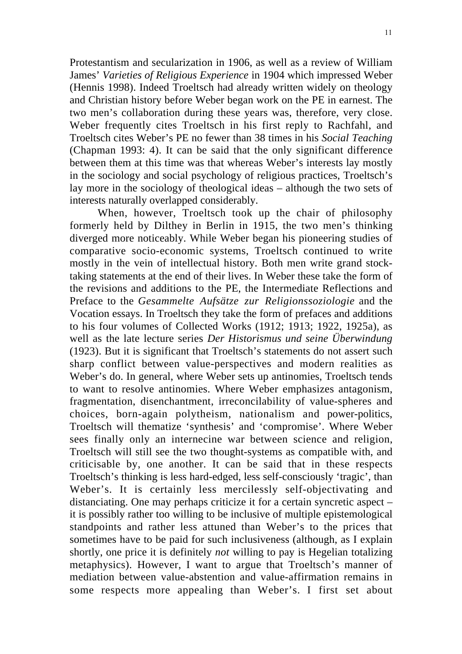Protestantism and secularization in 1906, as well as a review of William James' *Varieties of Religious Experience* in 1904 which impressed Weber (Hennis 1998). Indeed Troeltsch had already written widely on theology and Christian history before Weber began work on the PE in earnest. The two men's collaboration during these years was, therefore, very close. Weber frequently cites Troeltsch in his first reply to Rachfahl, and Troeltsch cites Weber's PE no fewer than 38 times in his *Social Teaching* (Chapman 1993: 4). It can be said that the only significant difference between them at this time was that whereas Weber's interests lay mostly in the sociology and social psychology of religious practices, Troeltsch's lay more in the sociology of theological ideas – although the two sets of interests naturally overlapped considerably.

When, however, Troeltsch took up the chair of philosophy formerly held by Dilthey in Berlin in 1915, the two men's thinking diverged more noticeably. While Weber began his pioneering studies of comparative socio-economic systems, Troeltsch continued to write mostly in the vein of intellectual history. Both men write grand stocktaking statements at the end of their lives. In Weber these take the form of the revisions and additions to the PE, the Intermediate Reflections and Preface to the *Gesammelte Aufsätze zur Religionssoziologie* and the Vocation essays. In Troeltsch they take the form of prefaces and additions to his four volumes of Collected Works (1912; 1913; 1922, 1925a), as well as the late lecture series *Der Historismus und seine Überwindung* (1923). But it is significant that Troeltsch's statements do not assert such sharp conflict between value-perspectives and modern realities as Weber's do. In general, where Weber sets up antinomies, Troeltsch tends to want to resolve antinomies. Where Weber emphasizes antagonism, fragmentation, disenchantment, irreconcilability of value-spheres and choices, born-again polytheism, nationalism and power-politics, Troeltsch will thematize 'synthesis' and 'compromise'. Where Weber sees finally only an internecine war between science and religion, Troeltsch will still see the two thought-systems as compatible with, and criticisable by, one another. It can be said that in these respects Troeltsch's thinking is less hard-edged, less self-consciously 'tragic', than Weber's. It is certainly less mercilessly self-objectivating and distanciating. One may perhaps criticize it for a certain syncretic aspect – it is possibly rather too willing to be inclusive of multiple epistemological standpoints and rather less attuned than Weber's to the prices that sometimes have to be paid for such inclusiveness (although, as I explain shortly, one price it is definitely *not* willing to pay is Hegelian totalizing metaphysics). However, I want to argue that Troeltsch's manner of mediation between value-abstention and value-affirmation remains in some respects more appealing than Weber's. I first set about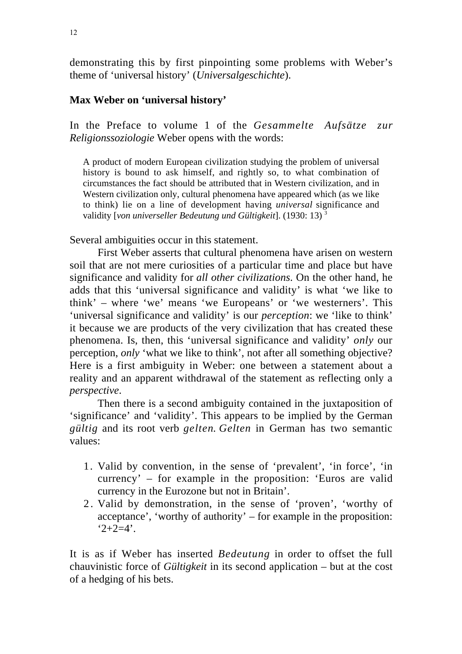demonstrating this by first pinpointing some problems with Weber's theme of 'universal history' (*Universalgeschichte*).

### **Max Weber on 'universal history'**

In the Preface to volume 1 of the *Gesammelte Aufsätze zur Religionssoziologie* Weber opens with the words:

A product of modern European civilization studying the problem of universal history is bound to ask himself, and rightly so, to what combination of circumstances the fact should be attributed that in Western civilization, and in Western civilization only, cultural phenomena have appeared which (as we like to think) lie on a line of development having *universal* significance and validity [*von universeller Bedeutung und Gültigkeit*]. (1930: 13) 3

Several ambiguities occur in this statement.

First Weber asserts that cultural phenomena have arisen on western soil that are not mere curiosities of a particular time and place but have significance and validity for *all other civilizations*. On the other hand, he adds that this 'universal significance and validity' is what 'we like to think' – where 'we' means 'we Europeans' or 'we westerners'. This 'universal significance and validity' is our *perception*: we 'like to think' it because we are products of the very civilization that has created these phenomena. Is, then, this 'universal significance and validity' *only* our perception, *only* 'what we like to think', not after all something objective? Here is a first ambiguity in Weber: one between a statement about a reality and an apparent withdrawal of the statement as reflecting only a *perspective*.

Then there is a second ambiguity contained in the juxtaposition of 'significance' and 'validity'. This appears to be implied by the German *gültig* and its root verb *gelten*. *Gelten* in German has two semantic values:

- 1. Valid by convention, in the sense of 'prevalent', 'in force', 'in currency' – for example in the proposition: 'Euros are valid currency in the Eurozone but not in Britain'.
- 2 . Valid by demonstration, in the sense of 'proven', 'worthy of acceptance', 'worthy of authority' – for example in the proposition:  $2+2=4'$ .

It is as if Weber has inserted *Bedeutung* in order to offset the full chauvinistic force of *Gültigkeit* in its second application – but at the cost of a hedging of his bets.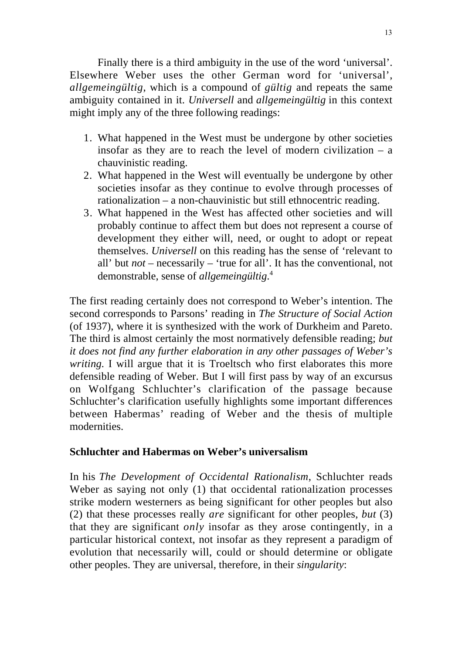Finally there is a third ambiguity in the use of the word 'universal'. Elsewhere Weber uses the other German word for 'universal', *allgemeingültig*, which is a compound of *gültig* and repeats the same ambiguity contained in it. *Universell* and *allgemeingültig* in this context might imply any of the three following readings:

- 1. What happened in the West must be undergone by other societies insofar as they are to reach the level of modern civilization – a chauvinistic reading.
- 2. What happened in the West will eventually be undergone by other societies insofar as they continue to evolve through processes of rationalization – a non-chauvinistic but still ethnocentric reading.
- 3. What happened in the West has affected other societies and will probably continue to affect them but does not represent a course of development they either will, need, or ought to adopt or repeat themselves. *Universell* on this reading has the sense of 'relevant to all' but *not* – necessarily – 'true for all'. It has the conventional, not demonstrable, sense of *allgemeingültig*. 4

The first reading certainly does not correspond to Weber's intention. The second corresponds to Parsons' reading in *The Structure of Social Action* (of 1937), where it is synthesized with the work of Durkheim and Pareto. The third is almost certainly the most normatively defensible reading; *but it does not find any further elaboration in any other passages of Weber's writing.* I will argue that it is Troeltsch who first elaborates this more defensible reading of Weber. But I will first pass by way of an excursus on Wolfgang Schluchter's clarification of the passage because Schluchter's clarification usefully highlights some important differences between Habermas' reading of Weber and the thesis of multiple modernities.

# **Schluchter and Habermas on Weber's universalism**

In his *The Development of Occidental Rationalism*, Schluchter reads Weber as saying not only (1) that occidental rationalization processes strike modern westerners as being significant for other peoples but also (2) that these processes really *are* significant for other peoples, *but* (3) that they are significant *only* insofar as they arose contingently, in a particular historical context, not insofar as they represent a paradigm of evolution that necessarily will, could or should determine or obligate other peoples. They are universal, therefore, in their *singularity*: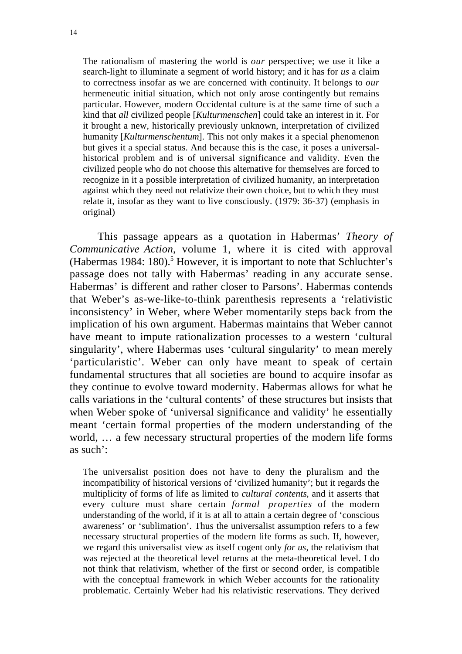The rationalism of mastering the world is *our* perspective; we use it like a search-light to illuminate a segment of world history; and it has for *us* a claim to correctness insofar as we are concerned with continuity. It belongs to *our* hermeneutic initial situation, which not only arose contingently but remains particular. However, modern Occidental culture is at the same time of such a kind that *all* civilized people [*Kulturmenschen*] could take an interest in it. For it brought a new, historically previously unknown, interpretation of civilized humanity [*Kulturmenschentum*]. This not only makes it a special phenomenon but gives it a special status. And because this is the case, it poses a universalhistorical problem and is of universal significance and validity. Even the civilized people who do not choose this alternative for themselves are forced to recognize in it a possible interpretation of civilized humanity, an interpretation against which they need not relativize their own choice, but to which they must relate it, insofar as they want to live consciously. (1979: 36-37) (emphasis in original)

This passage appears as a quotation in Habermas' *Theory of Communicative Action*, volume 1, where it is cited with approval (Habermas 1984: 180).<sup>5</sup> However, it is important to note that Schluchter's passage does not tally with Habermas' reading in any accurate sense. Habermas' is different and rather closer to Parsons'. Habermas contends that Weber's as-we-like-to-think parenthesis represents a 'relativistic inconsistency' in Weber, where Weber momentarily steps back from the implication of his own argument. Habermas maintains that Weber cannot have meant to impute rationalization processes to a western 'cultural singularity', where Habermas uses 'cultural singularity' to mean merely 'particularistic'. Weber can only have meant to speak of certain fundamental structures that all societies are bound to acquire insofar as they continue to evolve toward modernity. Habermas allows for what he calls variations in the 'cultural contents' of these structures but insists that when Weber spoke of 'universal significance and validity' he essentially meant 'certain formal properties of the modern understanding of the world, … a few necessary structural properties of the modern life forms as such':

The universalist position does not have to deny the pluralism and the incompatibility of historical versions of 'civilized humanity'; but it regards the multiplicity of forms of life as limited to *cultural contents*, and it asserts that every culture must share certain *formal properties* of the modern understanding of the world, if it is at all to attain a certain degree of 'conscious awareness' or 'sublimation'. Thus the universalist assumption refers to a few necessary structural properties of the modern life forms as such. If, however, we regard this universalist view as itself cogent only *for us*, the relativism that was rejected at the theoretical level returns at the meta-theoretical level. I do not think that relativism, whether of the first or second order, is compatible with the conceptual framework in which Weber accounts for the rationality problematic. Certainly Weber had his relativistic reservations. They derived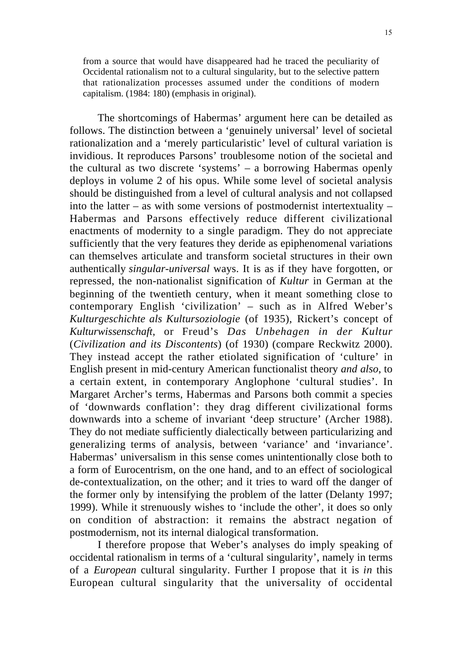from a source that would have disappeared had he traced the peculiarity of Occidental rationalism not to a cultural singularity, but to the selective pattern that rationalization processes assumed under the conditions of modern capitalism. (1984: 180) (emphasis in original).

The shortcomings of Habermas' argument here can be detailed as follows. The distinction between a 'genuinely universal' level of societal rationalization and a 'merely particularistic' level of cultural variation is invidious. It reproduces Parsons' troublesome notion of the societal and the cultural as two discrete 'systems' – a borrowing Habermas openly deploys in volume 2 of his opus. While some level of societal analysis should be distinguished from a level of cultural analysis and not collapsed into the latter – as with some versions of postmodernist intertextuality – Habermas and Parsons effectively reduce different civilizational enactments of modernity to a single paradigm. They do not appreciate sufficiently that the very features they deride as epiphenomenal variations can themselves articulate and transform societal structures in their own authentically *singular-universal* ways. It is as if they have forgotten, or repressed, the non-nationalist signification of *Kultur* in German at the beginning of the twentieth century, when it meant something close to contemporary English 'civilization' – such as in Alfred Weber's *Kulturgeschichte als Kultursoziologie* (of 1935), Rickert's concept of *Kulturwissenschaft*, or Freud's *Das Unbehagen in der Kultur* (*Civilization and its Discontents*) (of 1930) (compare Reckwitz 2000). They instead accept the rather etiolated signification of 'culture' in English present in mid-century American functionalist theory *and also*, to a certain extent, in contemporary Anglophone 'cultural studies'. In Margaret Archer's terms, Habermas and Parsons both commit a species of 'downwards conflation': they drag different civilizational forms downwards into a scheme of invariant 'deep structure' (Archer 1988). They do not mediate sufficiently dialectically between particularizing and generalizing terms of analysis, between 'variance' and 'invariance'. Habermas' universalism in this sense comes unintentionally close both to a form of Eurocentrism, on the one hand, and to an effect of sociological de-contextualization, on the other; and it tries to ward off the danger of the former only by intensifying the problem of the latter (Delanty 1997; 1999). While it strenuously wishes to 'include the other', it does so only on condition of abstraction: it remains the abstract negation of postmodernism, not its internal dialogical transformation.

I therefore propose that Weber's analyses do imply speaking of occidental rationalism in terms of a 'cultural singularity', namely in terms of a *European* cultural singularity. Further I propose that it is *in* this European cultural singularity that the universality of occidental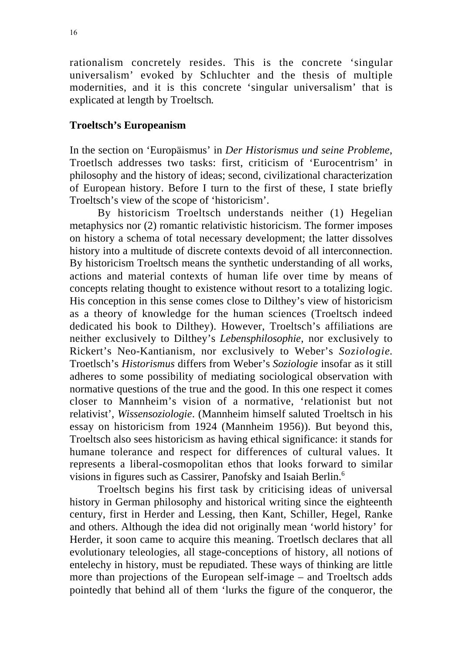rationalism concretely resides. This is the concrete 'singular universalism' evoked by Schluchter and the thesis of multiple modernities, and it is this concrete 'singular universalism' that is explicated at length by Troeltsch*.*

#### **Troeltsch's Europeanism**

In the section on 'Europäismus' in *Der Historismus und seine Probleme*, Troetlsch addresses two tasks: first, criticism of 'Eurocentrism' in philosophy and the history of ideas; second, civilizational characterization of European history. Before I turn to the first of these, I state briefly Troeltsch's view of the scope of 'historicism'.

By historicism Troeltsch understands neither (1) Hegelian metaphysics nor (2) romantic relativistic historicism. The former imposes on history a schema of total necessary development; the latter dissolves history into a multitude of discrete contexts devoid of all interconnection. By historicism Troeltsch means the synthetic understanding of all works, actions and material contexts of human life over time by means of concepts relating thought to existence without resort to a totalizing logic. His conception in this sense comes close to Dilthey's view of historicism as a theory of knowledge for the human sciences (Troeltsch indeed dedicated his book to Dilthey). However, Troeltsch's affiliations are neither exclusively to Dilthey's *Lebensphilosophie*, nor exclusively to Rickert's Neo-Kantianism, nor exclusively to Weber's *Soziologie*. Troetlsch's *Historismus* differs from Weber's *Soziologie* insofar as it still adheres to some possibility of mediating sociological observation with normative questions of the true and the good. In this one respect it comes closer to Mannheim's vision of a normative, 'relationist but not relativist', *Wissensoziologie*. (Mannheim himself saluted Troeltsch in his essay on historicism from 1924 (Mannheim 1956)). But beyond this, Troeltsch also sees historicism as having ethical significance: it stands for humane tolerance and respect for differences of cultural values. It represents a liberal-cosmopolitan ethos that looks forward to similar visions in figures such as Cassirer, Panofsky and Isaiah Berlin.6

Troeltsch begins his first task by criticising ideas of universal history in German philosophy and historical writing since the eighteenth century, first in Herder and Lessing, then Kant, Schiller, Hegel, Ranke and others. Although the idea did not originally mean 'world history' for Herder, it soon came to acquire this meaning. Troetlsch declares that all evolutionary teleologies, all stage-conceptions of history, all notions of entelechy in history, must be repudiated. These ways of thinking are little more than projections of the European self-image – and Troeltsch adds pointedly that behind all of them 'lurks the figure of the conqueror, the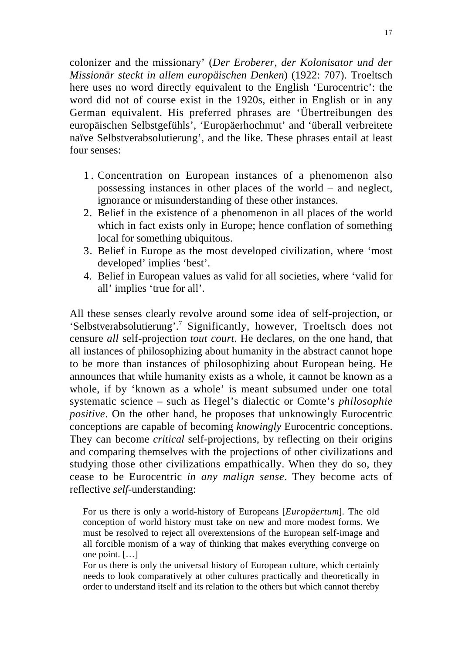colonizer and the missionary' (*Der Eroberer, der Kolonisator und der Missionär steckt in allem europäischen Denken*) (1922: 707). Troeltsch here uses no word directly equivalent to the English 'Eurocentric': the word did not of course exist in the 1920s, either in English or in any German equivalent. His preferred phrases are 'Übertreibungen des europäischen Selbstgefühls', 'Europäerhochmut' and 'überall verbreitete naïve Selbstverabsolutierung', and the like. These phrases entail at least four senses:

- 1 . Concentration on European instances of a phenomenon also possessing instances in other places of the world – and neglect, ignorance or misunderstanding of these other instances.
- 2. Belief in the existence of a phenomenon in all places of the world which in fact exists only in Europe; hence conflation of something local for something ubiquitous.
- 3. Belief in Europe as the most developed civilization, where 'most developed' implies 'best'.
- 4. Belief in European values as valid for all societies, where 'valid for all' implies 'true for all'.

All these senses clearly revolve around some idea of self-projection, or 'Selbstverabsolutierung'.7 Significantly, however, Troeltsch does not censure *all* self-projection *tout court*. He declares, on the one hand, that all instances of philosophizing about humanity in the abstract cannot hope to be more than instances of philosophizing about European being. He announces that while humanity exists as a whole, it cannot be known as a whole, if by 'known as a whole' is meant subsumed under one total systematic science – such as Hegel's dialectic or Comte's *philosophie positive*. On the other hand, he proposes that unknowingly Eurocentric conceptions are capable of becoming *knowingly* Eurocentric conceptions. They can become *critical* self-projections, by reflecting on their origins and comparing themselves with the projections of other civilizations and studying those other civilizations empathically. When they do so, they cease to be Eurocentric *in any malign sense*. They become acts of reflective *self*-understanding:

For us there is only a world-history of Europeans [*Europäertum*]. The old conception of world history must take on new and more modest forms. We must be resolved to reject all overextensions of the European self-image and all forcible monism of a way of thinking that makes everything converge on one point. […]

For us there is only the universal history of European culture, which certainly needs to look comparatively at other cultures practically and theoretically in order to understand itself and its relation to the others but which cannot thereby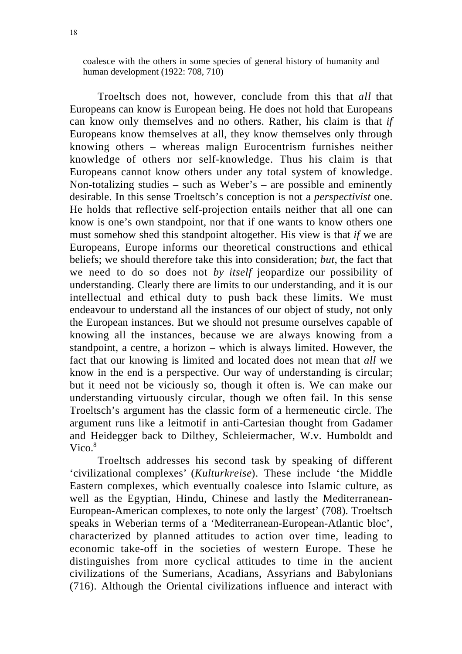coalesce with the others in some species of general history of humanity and human development (1922: 708, 710)

Troeltsch does not, however, conclude from this that *all* that Europeans can know is European being. He does not hold that Europeans can know only themselves and no others. Rather, his claim is that *if* Europeans know themselves at all, they know themselves only through knowing others – whereas malign Eurocentrism furnishes neither knowledge of others nor self-knowledge. Thus his claim is that Europeans cannot know others under any total system of knowledge. Non-totalizing studies – such as Weber's – are possible and eminently desirable. In this sense Troeltsch's conception is not a *perspectivist* one. He holds that reflective self-projection entails neither that all one can know is one's own standpoint, nor that if one wants to know others one must somehow shed this standpoint altogether. His view is that *if* we are Europeans, Europe informs our theoretical constructions and ethical beliefs; we should therefore take this into consideration; *but*, the fact that we need to do so does not *by itself* jeopardize our possibility of understanding. Clearly there are limits to our understanding, and it is our intellectual and ethical duty to push back these limits. We must endeavour to understand all the instances of our object of study, not only the European instances. But we should not presume ourselves capable of knowing all the instances, because we are always knowing from a standpoint, a centre, a horizon – which is always limited. However, the fact that our knowing is limited and located does not mean that *all* we know in the end is a perspective. Our way of understanding is circular; but it need not be viciously so, though it often is. We can make our understanding virtuously circular, though we often fail. In this sense Troeltsch's argument has the classic form of a hermeneutic circle. The argument runs like a leitmotif in anti-Cartesian thought from Gadamer and Heidegger back to Dilthey, Schleiermacher, W.v. Humboldt and Vico $8$ 

Troeltsch addresses his second task by speaking of different 'civilizational complexes' (*Kulturkreise*). These include 'the Middle Eastern complexes, which eventually coalesce into Islamic culture, as well as the Egyptian, Hindu, Chinese and lastly the Mediterranean-European-American complexes, to note only the largest' (708). Troeltsch speaks in Weberian terms of a 'Mediterranean-European-Atlantic bloc', characterized by planned attitudes to action over time, leading to economic take-off in the societies of western Europe. These he distinguishes from more cyclical attitudes to time in the ancient civilizations of the Sumerians, Acadians, Assyrians and Babylonians (716). Although the Oriental civilizations influence and interact with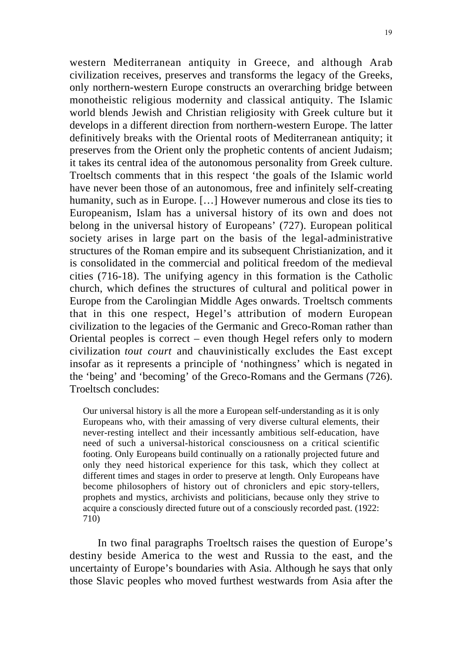western Mediterranean antiquity in Greece, and although Arab civilization receives, preserves and transforms the legacy of the Greeks, only northern-western Europe constructs an overarching bridge between monotheistic religious modernity and classical antiquity. The Islamic world blends Jewish and Christian religiosity with Greek culture but it develops in a different direction from northern-western Europe. The latter definitively breaks with the Oriental roots of Mediterranean antiquity; it preserves from the Orient only the prophetic contents of ancient Judaism; it takes its central idea of the autonomous personality from Greek culture. Troeltsch comments that in this respect 'the goals of the Islamic world have never been those of an autonomous, free and infinitely self-creating humanity, such as in Europe. […] However numerous and close its ties to Europeanism, Islam has a universal history of its own and does not belong in the universal history of Europeans' (727). European political society arises in large part on the basis of the legal-administrative structures of the Roman empire and its subsequent Christianization, and it is consolidated in the commercial and political freedom of the medieval cities (716-18). The unifying agency in this formation is the Catholic church, which defines the structures of cultural and political power in Europe from the Carolingian Middle Ages onwards. Troeltsch comments that in this one respect, Hegel's attribution of modern European civilization to the legacies of the Germanic and Greco-Roman rather than Oriental peoples is correct – even though Hegel refers only to modern civilization *tout court* and chauvinistically excludes the East except insofar as it represents a principle of 'nothingness' which is negated in the 'being' and 'becoming' of the Greco-Romans and the Germans (726). Troeltsch concludes:

Our universal history is all the more a European self-understanding as it is only Europeans who, with their amassing of very diverse cultural elements, their never-resting intellect and their incessantly ambitious self-education, have need of such a universal-historical consciousness on a critical scientific footing. Only Europeans build continually on a rationally projected future and only they need historical experience for this task, which they collect at different times and stages in order to preserve at length. Only Europeans have become philosophers of history out of chroniclers and epic story-tellers, prophets and mystics, archivists and politicians, because only they strive to acquire a consciously directed future out of a consciously recorded past. (1922: 710)

In two final paragraphs Troeltsch raises the question of Europe's destiny beside America to the west and Russia to the east, and the uncertainty of Europe's boundaries with Asia. Although he says that only those Slavic peoples who moved furthest westwards from Asia after the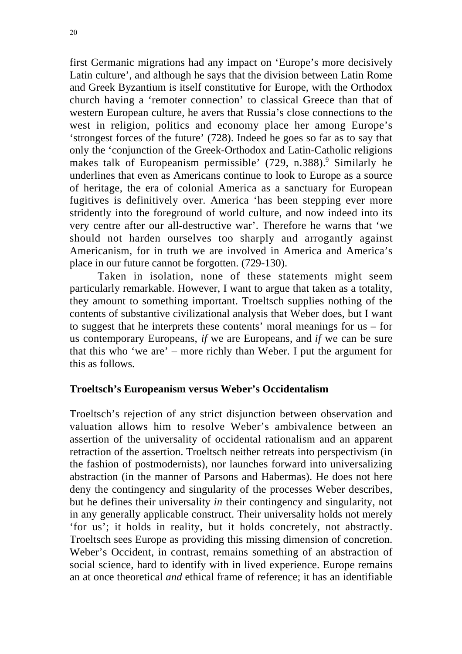first Germanic migrations had any impact on 'Europe's more decisively Latin culture', and although he says that the division between Latin Rome and Greek Byzantium is itself constitutive for Europe, with the Orthodox church having a 'remoter connection' to classical Greece than that of western European culture, he avers that Russia's close connections to the west in religion, politics and economy place her among Europe's 'strongest forces of the future' (728). Indeed he goes so far as to say that only the 'conjunction of the Greek-Orthodox and Latin-Catholic religions makes talk of Europeanism permissible' (729, n.388).<sup>9</sup> Similarly he underlines that even as Americans continue to look to Europe as a source of heritage, the era of colonial America as a sanctuary for European fugitives is definitively over. America 'has been stepping ever more stridently into the foreground of world culture, and now indeed into its very centre after our all-destructive war'. Therefore he warns that 'we should not harden ourselves too sharply and arrogantly against Americanism, for in truth we are involved in America and America's place in our future cannot be forgotten. (729-130).

Taken in isolation, none of these statements might seem particularly remarkable. However, I want to argue that taken as a totality, they amount to something important. Troeltsch supplies nothing of the contents of substantive civilizational analysis that Weber does, but I want to suggest that he interprets these contents' moral meanings for us – for us contemporary Europeans, *if* we are Europeans, and *if* we can be sure that this who 'we are' – more richly than Weber. I put the argument for this as follows.

# **Troeltsch's Europeanism versus Weber's Occidentalism**

Troeltsch's rejection of any strict disjunction between observation and valuation allows him to resolve Weber's ambivalence between an assertion of the universality of occidental rationalism and an apparent retraction of the assertion. Troeltsch neither retreats into perspectivism (in the fashion of postmodernists), nor launches forward into universalizing abstraction (in the manner of Parsons and Habermas). He does not here deny the contingency and singularity of the processes Weber describes, but he defines their universality *in* their contingency and singularity, not in any generally applicable construct. Their universality holds not merely 'for us'; it holds in reality, but it holds concretely, not abstractly. Troeltsch sees Europe as providing this missing dimension of concretion. Weber's Occident, in contrast, remains something of an abstraction of social science, hard to identify with in lived experience. Europe remains an at once theoretical *and* ethical frame of reference; it has an identifiable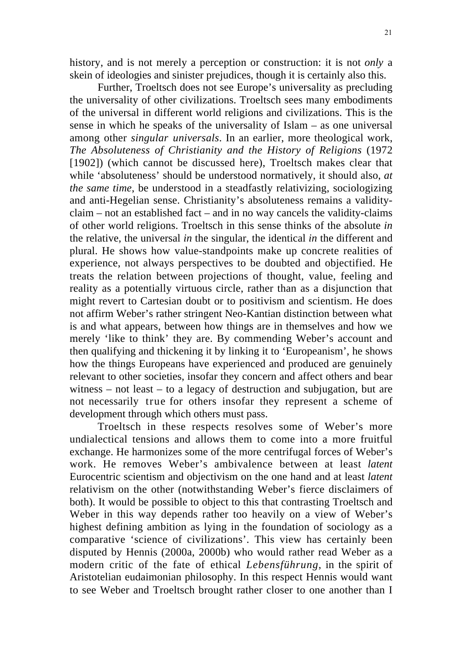history, and is not merely a perception or construction: it is not *only* a skein of ideologies and sinister prejudices, though it is certainly also this.

Further, Troeltsch does not see Europe's universality as precluding the universality of other civilizations. Troeltsch sees many embodiments of the universal in different world religions and civilizations. This is the sense in which he speaks of the universality of Islam – as one universal among other *singular universals*. In an earlier, more theological work, *The Absoluteness of Christianity and the History of Religions* (1972 [1902]) (which cannot be discussed here), Troeltsch makes clear that while 'absoluteness' should be understood normatively, it should also, *at the same time*, be understood in a steadfastly relativizing, sociologizing and anti-Hegelian sense. Christianity's absoluteness remains a validityclaim – not an established fact – and in no way cancels the validity-claims of other world religions. Troeltsch in this sense thinks of the absolute *in* the relative, the universal *in* the singular, the identical *in* the different and plural. He shows how value-standpoints make up concrete realities of experience, not always perspectives to be doubted and objectified. He treats the relation between projections of thought, value, feeling and reality as a potentially virtuous circle, rather than as a disjunction that might revert to Cartesian doubt or to positivism and scientism. He does not affirm Weber's rather stringent Neo-Kantian distinction between what is and what appears, between how things are in themselves and how we merely 'like to think' they are. By commending Weber's account and then qualifying and thickening it by linking it to 'Europeanism', he shows how the things Europeans have experienced and produced are genuinely relevant to other societies, insofar they concern and affect others and bear witness – not least – to a legacy of destruction and subjugation, but are not necessarily true for others insofar they represent a scheme of development through which others must pass.

Troeltsch in these respects resolves some of Weber's more undialectical tensions and allows them to come into a more fruitful exchange. He harmonizes some of the more centrifugal forces of Weber's work. He removes Weber's ambivalence between at least *latent* Eurocentric scientism and objectivism on the one hand and at least *latent* relativism on the other (notwithstanding Weber's fierce disclaimers of both). It would be possible to object to this that contrasting Troeltsch and Weber in this way depends rather too heavily on a view of Weber's highest defining ambition as lying in the foundation of sociology as a comparative 'science of civilizations'. This view has certainly been disputed by Hennis (2000a, 2000b) who would rather read Weber as a modern critic of the fate of ethical *Lebensführung*, in the spirit of Aristotelian eudaimonian philosophy. In this respect Hennis would want to see Weber and Troeltsch brought rather closer to one another than I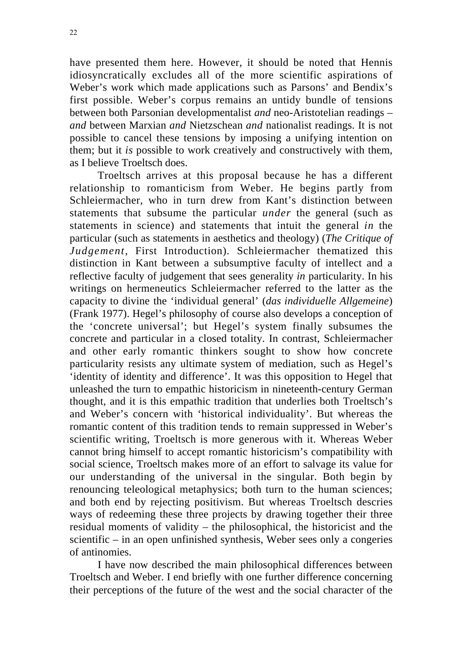have presented them here. However, it should be noted that Hennis idiosyncratically excludes all of the more scientific aspirations of Weber's work which made applications such as Parsons' and Bendix's first possible. Weber's corpus remains an untidy bundle of tensions between both Parsonian developmentalist *and* neo-Aristotelian readings – *and* between Marxian *and* Nietzschean *and* nationalist readings. It is not possible to cancel these tensions by imposing a unifying intention on them; but it *is* possible to work creatively and constructively with them, as I believe Troeltsch does.

Troeltsch arrives at this proposal because he has a different relationship to romanticism from Weber. He begins partly from Schleiermacher, who in turn drew from Kant's distinction between statements that subsume the particular *under* the general (such as statements in science) and statements that intuit the general *in* the particular (such as statements in aesthetics and theology) (*The Critique of Judgement*, First Introduction). Schleiermacher thematized this distinction in Kant between a subsumptive faculty of intellect and a reflective faculty of judgement that sees generality *in* particularity. In his writings on hermeneutics Schleiermacher referred to the latter as the capacity to divine the 'individual general' (*das individuelle Allgemeine*) (Frank 1977). Hegel's philosophy of course also develops a conception of the 'concrete universal'; but Hegel's system finally subsumes the concrete and particular in a closed totality. In contrast, Schleiermacher and other early romantic thinkers sought to show how concrete particularity resists any ultimate system of mediation, such as Hegel's 'identity of identity and difference'. It was this opposition to Hegel that unleashed the turn to empathic historicism in nineteenth-century German thought, and it is this empathic tradition that underlies both Troeltsch's and Weber's concern with 'historical individuality'. But whereas the romantic content of this tradition tends to remain suppressed in Weber's scientific writing, Troeltsch is more generous with it. Whereas Weber cannot bring himself to accept romantic historicism's compatibility with social science, Troeltsch makes more of an effort to salvage its value for our understanding of the universal in the singular. Both begin by renouncing teleological metaphysics; both turn to the human sciences; and both end by rejecting positivism. But whereas Troeltsch descries ways of redeeming these three projects by drawing together their three residual moments of validity – the philosophical, the historicist and the scientific – in an open unfinished synthesis, Weber sees only a congeries of antinomies.

I have now described the main philosophical differences between Troeltsch and Weber. I end briefly with one further difference concerning their perceptions of the future of the west and the social character of the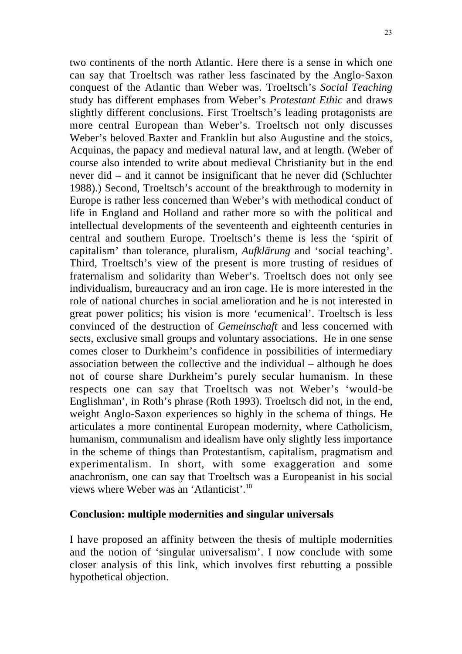two continents of the north Atlantic. Here there is a sense in which one can say that Troeltsch was rather less fascinated by the Anglo-Saxon conquest of the Atlantic than Weber was. Troeltsch's *Social Teaching* study has different emphases from Weber's *Protestant Ethic* and draws slightly different conclusions. First Troeltsch's leading protagonists are more central European than Weber's. Troeltsch not only discusses Weber's beloved Baxter and Franklin but also Augustine and the stoics, Acquinas, the papacy and medieval natural law, and at length. (Weber of course also intended to write about medieval Christianity but in the end never did – and it cannot be insignificant that he never did (Schluchter 1988).) Second, Troeltsch's account of the breakthrough to modernity in Europe is rather less concerned than Weber's with methodical conduct of life in England and Holland and rather more so with the political and intellectual developments of the seventeenth and eighteenth centuries in central and southern Europe. Troeltsch's theme is less the 'spirit of capitalism' than tolerance, pluralism, *Aufklärung* and 'social teaching'. Third, Troeltsch's view of the present is more trusting of residues of fraternalism and solidarity than Weber's. Troeltsch does not only see individualism, bureaucracy and an iron cage. He is more interested in the role of national churches in social amelioration and he is not interested in great power politics; his vision is more 'ecumenical'. Troeltsch is less convinced of the destruction of *Gemeinschaft* and less concerned with sects, exclusive small groups and voluntary associations. He in one sense comes closer to Durkheim's confidence in possibilities of intermediary association between the collective and the individual – although he does not of course share Durkheim's purely secular humanism. In these respects one can say that Troeltsch was not Weber's 'would-be Englishman', in Roth's phrase (Roth 1993). Troeltsch did not, in the end, weight Anglo-Saxon experiences so highly in the schema of things. He articulates a more continental European modernity, where Catholicism, humanism, communalism and idealism have only slightly less importance in the scheme of things than Protestantism, capitalism, pragmatism and experimentalism. In short, with some exaggeration and some anachronism, one can say that Troeltsch was a Europeanist in his social views where Weber was an 'Atlanticist'.10

#### **Conclusion: multiple modernities and singular universals**

I have proposed an affinity between the thesis of multiple modernities and the notion of 'singular universalism'. I now conclude with some closer analysis of this link, which involves first rebutting a possible hypothetical objection.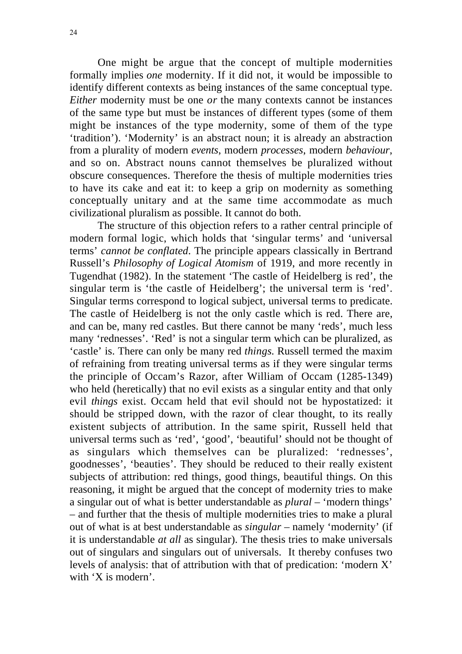One might be argue that the concept of multiple modernities formally implies *one* modernity. If it did not, it would be impossible to identify different contexts as being instances of the same conceptual type. *Either* modernity must be one *or* the many contexts cannot be instances of the same type but must be instances of different types (some of them might be instances of the type modernity, some of them of the type 'tradition'). 'Modernity' is an abstract noun; it is already an abstraction from a plurality of modern *events*, modern *processes*, modern *behaviour*, and so on. Abstract nouns cannot themselves be pluralized without obscure consequences. Therefore the thesis of multiple modernities tries to have its cake and eat it: to keep a grip on modernity as something conceptually unitary and at the same time accommodate as much civilizational pluralism as possible. It cannot do both.

The structure of this objection refers to a rather central principle of modern formal logic, which holds that 'singular terms' and 'universal terms' *cannot be conflated*. The principle appears classically in Bertrand Russell's *Philosophy of Logical Atomism* of 1919, and more recently in Tugendhat (1982). In the statement 'The castle of Heidelberg is red', the singular term is 'the castle of Heidelberg'; the universal term is 'red'. Singular terms correspond to logical subject, universal terms to predicate. The castle of Heidelberg is not the only castle which is red. There are, and can be, many red castles. But there cannot be many 'reds', much less many 'rednesses'. 'Red' is not a singular term which can be pluralized, as 'castle' is. There can only be many red *things*. Russell termed the maxim of refraining from treating universal terms as if they were singular terms the principle of Occam's Razor, after William of Occam (1285-1349) who held (heretically) that no evil exists as a singular entity and that only evil *things* exist. Occam held that evil should not be hypostatized: it should be stripped down, with the razor of clear thought, to its really existent subjects of attribution. In the same spirit, Russell held that universal terms such as 'red', 'good', 'beautiful' should not be thought of as singulars which themselves can be pluralized: 'rednesses', goodnesses', 'beauties'. They should be reduced to their really existent subjects of attribution: red things, good things, beautiful things. On this reasoning, it might be argued that the concept of modernity tries to make a singular out of what is better understandable as *plural* – 'modern things' – and further that the thesis of multiple modernities tries to make a plural out of what is at best understandable as *singular* – namely 'modernity' (if it is understandable *at all* as singular). The thesis tries to make universals out of singulars and singulars out of universals. It thereby confuses two levels of analysis: that of attribution with that of predication: 'modern X' with 'X is modern'.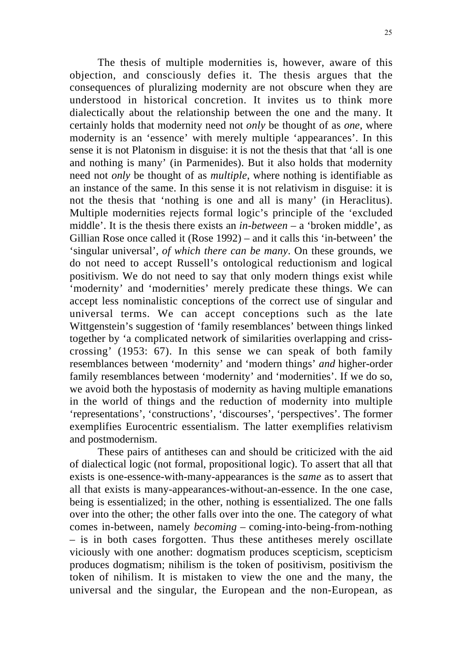The thesis of multiple modernities is, however, aware of this objection, and consciously defies it. The thesis argues that the consequences of pluralizing modernity are not obscure when they are understood in historical concretion. It invites us to think more dialectically about the relationship between the one and the many. It certainly holds that modernity need not *only* be thought of as *one*, where modernity is an 'essence' with merely multiple 'appearances'. In this sense it is not Platonism in disguise: it is not the thesis that that 'all is one and nothing is many' (in Parmenides). But it also holds that modernity need not *only* be thought of as *multiple*, where nothing is identifiable as an instance of the same. In this sense it is not relativism in disguise: it is not the thesis that 'nothing is one and all is many' (in Heraclitus). Multiple modernities rejects formal logic's principle of the 'excluded middle'. It is the thesis there exists an *in-between* – a 'broken middle', as Gillian Rose once called it (Rose 1992) – and it calls this 'in-between' the 'singular universal', *of which there can be many*. On these grounds, we do not need to accept Russell's ontological reductionism and logical positivism. We do not need to say that only modern things exist while 'modernity' and 'modernities' merely predicate these things. We can accept less nominalistic conceptions of the correct use of singular and universal terms. We can accept conceptions such as the late Wittgenstein's suggestion of 'family resemblances' between things linked together by 'a complicated network of similarities overlapping and crisscrossing' (1953: 67). In this sense we can speak of both family resemblances between 'modernity' and 'modern things' *and* higher-order family resemblances between 'modernity' and 'modernities'. If we do so, we avoid both the hypostasis of modernity as having multiple emanations in the world of things and the reduction of modernity into multiple 'representations', 'constructions', 'discourses', 'perspectives'. The former exemplifies Eurocentric essentialism. The latter exemplifies relativism and postmodernism.

These pairs of antitheses can and should be criticized with the aid of dialectical logic (not formal, propositional logic). To assert that all that exists is one-essence-with-many-appearances is the *same* as to assert that all that exists is many-appearances-without-an-essence. In the one case, being is essentialized; in the other, nothing is essentialized. The one falls over into the other; the other falls over into the one. The category of what comes in-between, namely *becoming* – coming-into-being-from-nothing – is in both cases forgotten. Thus these antitheses merely oscillate viciously with one another: dogmatism produces scepticism, scepticism produces dogmatism; nihilism is the token of positivism, positivism the token of nihilism. It is mistaken to view the one and the many, the universal and the singular, the European and the non-European, as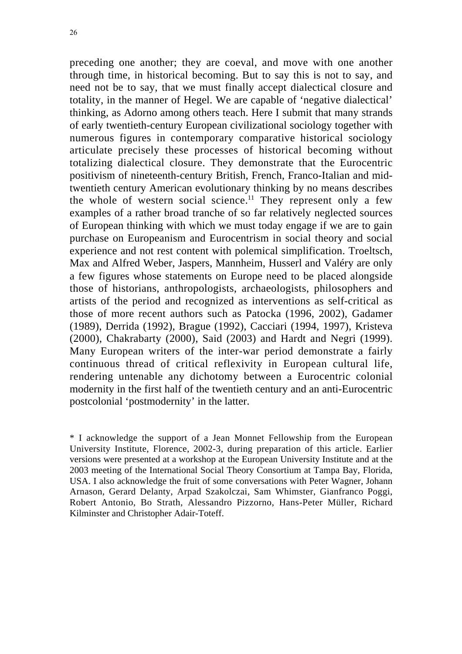preceding one another; they are coeval, and move with one another through time, in historical becoming. But to say this is not to say, and need not be to say, that we must finally accept dialectical closure and totality, in the manner of Hegel. We are capable of 'negative dialectical' thinking, as Adorno among others teach. Here I submit that many strands of early twentieth-century European civilizational sociology together with numerous figures in contemporary comparative historical sociology articulate precisely these processes of historical becoming without totalizing dialectical closure. They demonstrate that the Eurocentric positivism of nineteenth-century British, French, Franco-Italian and midtwentieth century American evolutionary thinking by no means describes the whole of western social science.<sup>11</sup> They represent only a few examples of a rather broad tranche of so far relatively neglected sources of European thinking with which we must today engage if we are to gain purchase on Europeanism and Eurocentrism in social theory and social experience and not rest content with polemical simplification. Troeltsch, Max and Alfred Weber, Jaspers, Mannheim, Husserl and Valéry are only a few figures whose statements on Europe need to be placed alongside those of historians, anthropologists, archaeologists, philosophers and artists of the period and recognized as interventions as self-critical as those of more recent authors such as Patocka (1996, 2002), Gadamer (1989), Derrida (1992), Brague (1992), Cacciari (1994, 1997), Kristeva (2000), Chakrabarty (2000), Said (2003) and Hardt and Negri (1999). Many European writers of the inter-war period demonstrate a fairly continuous thread of critical reflexivity in European cultural life, rendering untenable any dichotomy between a Eurocentric colonial modernity in the first half of the twentieth century and an anti-Eurocentric postcolonial 'postmodernity' in the latter.

\* I acknowledge the support of a Jean Monnet Fellowship from the European University Institute, Florence, 2002-3, during preparation of this article. Earlier versions were presented at a workshop at the European University Institute and at the 2003 meeting of the International Social Theory Consortium at Tampa Bay, Florida, USA. I also acknowledge the fruit of some conversations with Peter Wagner, Johann Arnason, Gerard Delanty, Arpad Szakolczai, Sam Whimster, Gianfranco Poggi, Robert Antonio, Bo Strath, Alessandro Pizzorno, Hans-Peter Müller, Richard Kilminster and Christopher Adair-Toteff.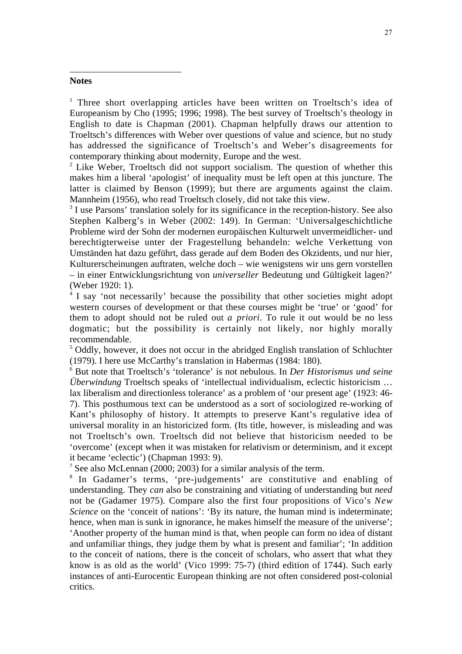#### **Notes**

 $\overline{a}$ 

<sup>1</sup> Three short overlapping articles have been written on Troeltsch's idea of Europeanism by Cho (1995; 1996; 1998). The best survey of Troeltsch's theology in English to date is Chapman (2001). Chapman helpfully draws our attention to Troeltsch's differences with Weber over questions of value and science, but no study has addressed the significance of Troeltsch's and Weber's disagreements for contemporary thinking about modernity, Europe and the west.

 $2^2$  Like Weber, Troeltsch did not support socialism. The question of whether this makes him a liberal 'apologist' of inequality must be left open at this juncture. The latter is claimed by Benson (1999); but there are arguments against the claim. Mannheim (1956), who read Troeltsch closely, did not take this view.

<sup>3</sup> I use Parsons' translation solely for its significance in the reception-history. See also Stephen Kalberg's in Weber (2002: 149). In German: 'Universalgeschichtliche Probleme wird der Sohn der modernen europäischen Kulturwelt unvermeidlicher- und berechtigterweise unter der Fragestellung behandeln: welche Verkettung von Umständen hat dazu geführt, dass gerade auf dem Boden des Okzidents, und nur hier, Kulturerscheinungen auftraten, welche doch – wie wenigstens wir uns gern vorstellen – in einer Entwicklungsrichtung von *universeller* Bedeutung und Gültigkeit lagen?' (Weber 1920: 1).

<sup>4</sup> I say 'not necessarily' because the possibility that other societies might adopt western courses of development or that these courses might be 'true' or 'good' for them to adopt should not be ruled out *a priori*. To rule it out would be no less dogmatic; but the possibility is certainly not likely, nor highly morally recommendable.

<sup>5</sup> Oddly, however, it does not occur in the abridged English translation of Schluchter (1979). I here use McCarthy's translation in Habermas (1984: 180).

<sup>6</sup> But note that Troeltsch's 'tolerance' is not nebulous. In *Der Historismus und seine Überwindung* Troeltsch speaks of 'intellectual individualism, eclectic historicism … lax liberalism and directionless tolerance' as a problem of 'our present age' (1923: 46- 7). This posthumous text can be understood as a sort of sociologized re-working of Kant's philosophy of history. It attempts to preserve Kant's regulative idea of universal morality in an historicized form. (Its title, however, is misleading and was not Troeltsch's own. Troeltsch did not believe that historicism needed to be 'overcome' (except when it was mistaken for relativism or determinism, and it except it became 'eclectic') (Chapman 1993: 9).

<sup>7</sup> See also McLennan (2000; 2003) for a similar analysis of the term.

<sup>8</sup> In Gadamer's terms, 'pre-judgements' are constitutive and enabling of understanding. They *can* also be constraining and vitiating of understanding but *need* not be (Gadamer 1975). Compare also the first four propositions of Vico's *New Science* on the 'conceit of nations': 'By its nature, the human mind is indeterminate; hence, when man is sunk in ignorance, he makes himself the measure of the universe'; 'Another property of the human mind is that, when people can form no idea of distant and unfamiliar things, they judge them by what is present and familiar'; 'In addition to the conceit of nations, there is the conceit of scholars, who assert that what they know is as old as the world' (Vico 1999: 75-7) (third edition of 1744). Such early instances of anti-Eurocentic European thinking are not often considered post-colonial critics.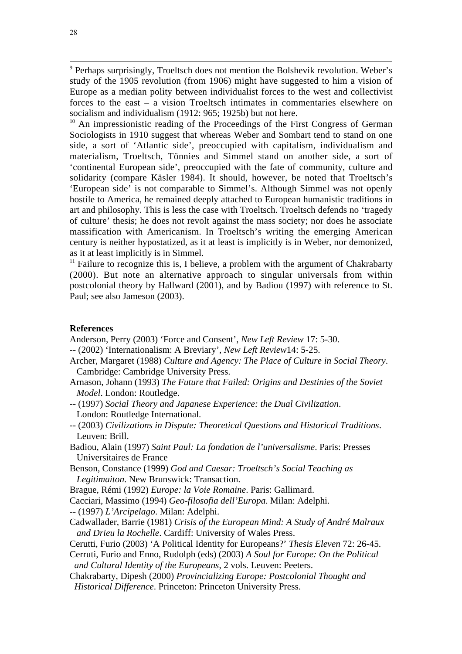<sup>9</sup> Perhaps surprisingly, Troeltsch does not mention the Bolshevik revolution. Weber's study of the 1905 revolution (from 1906) might have suggested to him a vision of Europe as a median polity between individualist forces to the west and collectivist forces to the east – a vision Troeltsch intimates in commentaries elsewhere on socialism and individualism (1912: 965; 1925b) but not here.

<sup>10</sup> An impressionistic reading of the Proceedings of the First Congress of German Sociologists in 1910 suggest that whereas Weber and Sombart tend to stand on one side, a sort of 'Atlantic side', preoccupied with capitalism, individualism and materialism, Troeltsch, Tönnies and Simmel stand on another side, a sort of 'continental European side', preoccupied with the fate of community, culture and solidarity (compare Käsler 1984). It should, however, be noted that Troeltsch's 'European side' is not comparable to Simmel's. Although Simmel was not openly hostile to America, he remained deeply attached to European humanistic traditions in art and philosophy. This is less the case with Troeltsch. Troeltsch defends no 'tragedy of culture' thesis; he does not revolt against the mass society; nor does he associate massification with Americanism. In Troeltsch's writing the emerging American century is neither hypostatized, as it at least is implicitly is in Weber, nor demonized, as it at least implicitly is in Simmel.

 $11$  Failure to recognize this is, I believe, a problem with the argument of Chakrabarty (2000). But note an alternative approach to singular universals from within postcolonial theory by Hallward (2001), and by Badiou (1997) with reference to St. Paul; see also Jameson (2003).

#### **References**

Anderson, Perry (2003) 'Force and Consent', *New Left Review* 17: 5-30.

- -- (2002) 'Internationalism: A Breviary', *New Left Review*14: 5-25.
- Archer, Margaret (1988) *Culture and Agency: The Place of Culture in Social Theory*. Cambridge: Cambridge University Press.
- Arnason, Johann (1993) *The Future that Failed: Origins and Destinies of the Soviet Model*. London: Routledge.
- -- (1997) *Social Theory and Japanese Experience: the Dual Civilization*. London: Routledge International.
- -- (2003) *Civilizations in Dispute: Theoretical Questions and Historical Traditions*. Leuven: Brill.
- Badiou, Alain (1997) *Saint Paul: La fondation de l'universalisme*. Paris: Presses Universitaires de France
- Benson, Constance (1999) *God and Caesar: Troeltsch's Social Teaching as Legitimaiton*. New Brunswick: Transaction.
- Brague, Rémi (1992) *Europe: la Voie Romaine*. Paris: Gallimard.

Cacciari, Massimo (1994) *Geo-filosofia dell'Europa*. Milan: Adelphi.

- -- (1997) *L'Arcipelago*. Milan: Adelphi.
- Cadwallader, Barrie (1981) *Crisis of the European Mind: A Study of André Malraux and Drieu la Rochelle*. Cardiff: University of Wales Press.
- Cerutti, Furio (2003) 'A Political Identity for Europeans?' *Thesis Eleven* 72: 26-45.
- Cerruti, Furio and Enno, Rudolph (eds) (2003) *A Soul for Europe: On the Political and Cultural Identity of the Europeans*, 2 vols. Leuven: Peeters.
- Chakrabarty, Dipesh (2000) *Provincializing Europe: Postcolonial Thought and Historical Difference*. Princeton: Princeton University Press.

 $\overline{a}$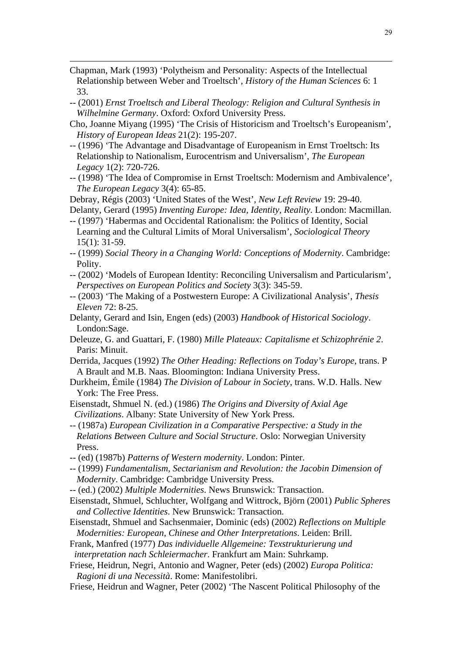Chapman, Mark (1993) 'Polytheism and Personality: Aspects of the Intellectual Relationship between Weber and Troeltsch', *History of the Human Sciences* 6: 1 33.

 $\overline{a}$ 

- -- (2001) *Ernst Troeltsch and Liberal Theology: Religion and Cultural Synthesis in Wilhelmine Germany*. Oxford: Oxford University Press.
- Cho, Joanne Miyang (1995) 'The Crisis of Historicism and Troeltsch's Europeanism', *History of European Ideas* 21(2): 195-207.
- -- (1996) 'The Advantage and Disadvantage of Europeanism in Ernst Troeltsch: Its Relationship to Nationalism, Eurocentrism and Universalism', *The European Legacy* 1(2): 720-726.
- -- (1998) 'The Idea of Compromise in Ernst Troeltsch: Modernism and Ambivalence',  *The European Legacy* 3(4): 65-85.

Debray, Régis (2003) 'United States of the West', *New Left Review* 19: 29-40. Delanty, Gerard (1995) *Inventing Europe: Idea, Identity, Reality*. London: Macmillan.

- -- (1997) 'Habermas and Occidental Rationalism: the Politics of Identity, Social Learning and the Cultural Limits of Moral Universalism', *Sociological Theory* 15(1): 31-59.
- -- (1999) *Social Theory in a Changing World: Conceptions of Modernity*. Cambridge: Polity.
- -- (2002) 'Models of European Identity: Reconciling Universalism and Particularism',  *Perspectives on European Politics and Society* 3(3): 345-59.
- -- (2003) 'The Making of a Postwestern Europe: A Civilizational Analysis', *Thesis Eleven* 72: 8-25.
- Delanty, Gerard and Isin, Engen (eds) (2003) *Handbook of Historical Sociology*. London:Sage.
- Deleuze, G. and Guattari, F. (1980) *Mille Plateaux: Capitalisme et Schizophrénie 2*. Paris: Minuit.
- Derrida, Jacques (1992) *The Other Heading: Reflections on Today's Europe*, trans. P A Brault and M.B. Naas. Bloomington: Indiana University Press.
- Durkheim, Émile (1984) *The Division of Labour in Society*, trans. W.D. Halls. New York: The Free Press.
- Eisenstadt, Shmuel N. (ed.) (1986) *The Origins and Diversity of Axial Age Civilizations*. Albany: State University of New York Press.
- -- (1987a) *European Civilization in a Comparative Perspective: a Study in the Relations Between Culture and Social Structure*. Oslo: Norwegian University Press.
- -- (ed) (1987b) *Patterns of Western modernity*. London: Pinter.
- -- (1999) *Fundamentalism, Sectarianism and Revolution: the Jacobin Dimension of Modernity*. Cambridge: Cambridge University Press.
- -- (ed.) (2002) *Multiple Modernities*. News Brunswick: Transaction.
- Eisenstadt, Shmuel, Schluchter, Wolfgang and Wittrock, Björn (2001) *Public Spheres and Collective Identities*. New Brunswick: Transaction.
- Eisenstadt, Shmuel and Sachsenmaier, Dominic (eds) (2002) *Reflections on Multiple Modernities: European, Chinese and Other Interpretations*. Leiden: Brill.
- Frank, Manfred (1977) *Das individuelle Allgemeine: Texstrukturierung und interpretation nach Schleiermacher*. Frankfurt am Main: Suhrkamp.
- Friese, Heidrun, Negri, Antonio and Wagner, Peter (eds) (2002) *Europa Politica: Ragioni di una Necessità*. Rome: Manifestolibri.
- Friese, Heidrun and Wagner, Peter (2002) 'The Nascent Political Philosophy of the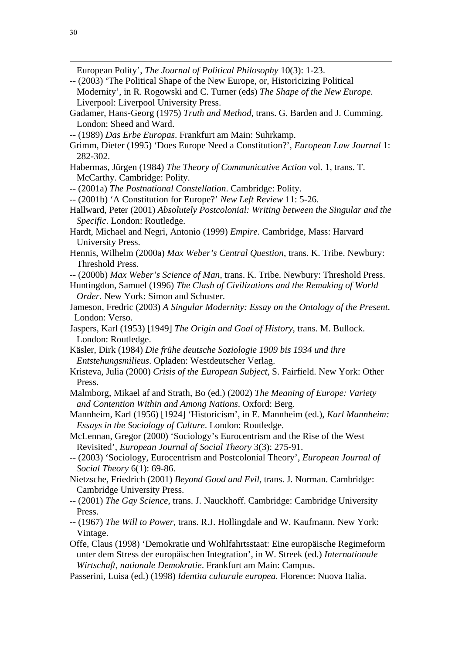$\overline{a}$ 

European Polity', *The Journal of Political Philosophy* 10(3): 1-23.

- -- (2003) 'The Political Shape of the New Europe, or, Historicizing Political Modernity', in R. Rogowski and C. Turner (eds) *The Shape of the New Europe*. Liverpool: Liverpool University Press.
- Gadamer, Hans-Georg (1975) *Truth and Method*, trans. G. Barden and J. Cumming. London: Sheed and Ward.
- -- (1989) *Das Erbe Europas*. Frankfurt am Main: Suhrkamp.
- Grimm, Dieter (1995) 'Does Europe Need a Constitution?', *European Law Journal* 1: 282-302.
- Habermas, Jürgen (1984) *The Theory of Communicative Action* vol. 1, trans. T. McCarthy. Cambridge: Polity.
- -- (2001a) *The Postnational Constellation*. Cambridge: Polity.
- -- (2001b) 'A Constitution for Europe?' *New Left Review* 11: 5-26.
- Hallward, Peter (2001) *Absolutely Postcolonial: Writing between the Singular and the Specific*. London: Routledge.
- Hardt, Michael and Negri, Antonio (1999) *Empire*. Cambridge, Mass: Harvard University Press.
- Hennis, Wilhelm (2000a) *Max Weber's Central Question*, trans. K. Tribe. Newbury: Threshold Press.
- -- (2000b) *Max Weber's Science of Man*, trans. K. Tribe. Newbury: Threshold Press.
- Huntingdon, Samuel (1996) *The Clash of Civilizations and the Remaking of World Order*. New York: Simon and Schuster.
- Jameson, Fredric (2003) *A Singular Modernity: Essay on the Ontology of the Present*. London: Verso.
- Jaspers, Karl (1953) [1949] *The Origin and Goal of History*, trans. M. Bullock. London: Routledge.
- Käsler, Dirk (1984) *Die frühe deutsche Soziologie 1909 bis 1934 und ihre Entstehungsmilieus*. Opladen: Westdeutscher Verlag.
- Kristeva, Julia (2000) *Crisis of the European Subject*, S. Fairfield. New York: Other Press.
- Malmborg, Mikael af and Strath, Bo (ed.) (2002) *The Meaning of Europe: Variety and Contention Within and Among Nations*. Oxford: Berg.
- Mannheim, Karl (1956) [1924] 'Historicism', in E. Mannheim (ed.), *Karl Mannheim: Essays in the Sociology of Culture*. London: Routledge.
- McLennan, Gregor (2000) 'Sociology's Eurocentrism and the Rise of the West Revisited', *European Journal of Social Theory* 3(3): 275-91.
- -- (2003) 'Sociology, Eurocentrism and Postcolonial Theory', *European Journal of Social Theory* 6(1): 69-86.
- Nietzsche, Friedrich (2001) *Beyond Good and Evil*, trans. J. Norman. Cambridge: Cambridge University Press.
- -- (2001) *The Gay Science*, trans. J. Nauckhoff. Cambridge: Cambridge University Press.
- -- (1967) *The Will to Power*, trans. R.J. Hollingdale and W. Kaufmann. New York: Vintage.
- Offe, Claus (1998) 'Demokratie und Wohlfahrtsstaat: Eine europäische Regimeform unter dem Stress der europäischen Integration', in W. Streek (ed.) *Internationale Wirtschaft, nationale Demokratie*. Frankfurt am Main: Campus.
- Passerini, Luisa (ed.) (1998) *Identita culturale europea*. Florence: Nuova Italia.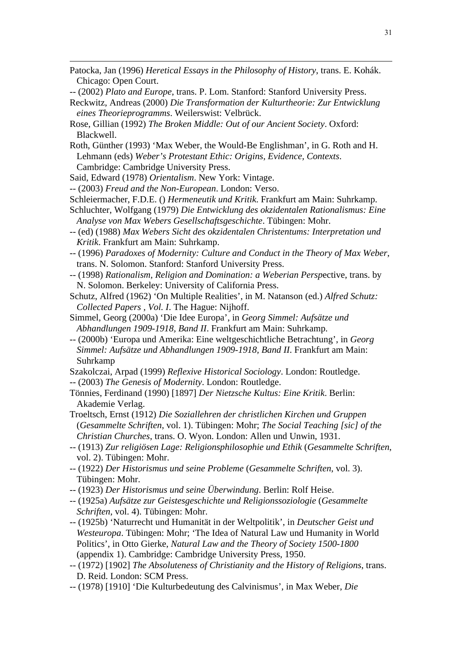- Patocka, Jan (1996) *Heretical Essays in the Philosophy of History*, trans. E. Kohák. Chicago: Open Court.
- -- (2002) *Plato and Europe*, trans. P. Lom. Stanford: Stanford University Press.
- Reckwitz, Andreas (2000) *Die Transformation der Kulturtheorie: Zur Entwicklung eines Theorieprogramms*. Weilerswist: Velbrück.
- Rose, Gillian (1992) *The Broken Middle: Out of our Ancient Society*. Oxford: Blackwell.
- Roth, Günther (1993) 'Max Weber, the Would-Be Englishman', in G. Roth and H. Lehmann (eds) *Weber's Protestant Ethic: Origins, Evidence, Contexts*. Cambridge: Cambridge University Press.
- Said, Edward (1978) *Orientalism*. New York: Vintage.

 $\overline{a}$ 

- -- (2003) *Freud and the Non-European*. London: Verso.
- Schleiermacher, F.D.E. () *Hermeneutik und Kritik*. Frankfurt am Main: Suhrkamp.
- Schluchter, Wolfgang (1979) *Die Entwicklung des okzidentalen Rationalismus: Eine Analyse von Max Webers Gesellschaftsgeschichte*. Tübingen: Mohr.
- -- (ed) (1988) *Max Webers Sicht des okzidentalen Christentums: Interpretation und Kritik*. Frankfurt am Main: Suhrkamp.
- -- (1996) *Paradoxes of Modernity: Culture and Conduct in the Theory of Max Weber*, trans. N. Solomon. Stanford: Stanford University Press.
- -- (1998) *Rationalism, Religion and Domination: a Weberian Persp*ective, trans. by N. Solomon. Berkeley: University of California Press.
- Schutz, Alfred (1962) 'On Multiple Realities', in M. Natanson (ed.) *Alfred Schutz: Collected Papers , Vol. I*. The Hague: Nijhoff.
- Simmel, Georg (2000a) 'Die Idee Europa', in *Georg Simmel: Aufsätze und Abhandlungen 1909-1918, Band II*. Frankfurt am Main: Suhrkamp.
- -- (2000b) 'Europa und Amerika: Eine weltgeschichtliche Betrachtung', in *Georg Simmel: Aufsätze und Abhandlungen 1909-1918, Band II*. Frankfurt am Main: Suhrkamp
- Szakolczai, Arpad (1999) *Reflexive Historical Sociology*. London: Routledge.
- -- (2003) *The Genesis of Modernity*. London: Routledge.
- Tönnies, Ferdinand (1990) [1897] *Der Nietzsche Kultus: Eine Kritik*. Berlin: Akademie Verlag.
- Troeltsch, Ernst (1912) *Die Soziallehren der christlichen Kirchen und Gruppen* (*Gesammelte Schriften*, vol. 1). Tübingen: Mohr; *The Social Teaching [sic] of the Christian Churches*, trans. O. Wyon. London: Allen und Unwin, 1931.
- -- (1913) *Zur religiösen Lage: Religionsphilosophie und Ethik* (*Gesammelte Schriften*, vol. 2). Tübingen: Mohr.
- -- (1922) *Der Historismus und seine Probleme* (*Gesammelte Schriften*, vol. 3). Tübingen: Mohr.
- -- (1923) *Der Historismus und seine Überwindung*. Berlin: Rolf Heise.
- -- (1925a) *Aufsätze zur Geistesgeschichte und Religionssoziologie* (*Gesammelte Schriften*, vol. 4). Tübingen: Mohr.
- -- (1925b) 'Naturrecht und Humanität in der Weltpolitik', in *Deutscher Geist und Westeuropa*. Tübingen: Mohr; 'The Idea of Natural Law und Humanity in World Politics', in Otto Gierke, *Natural Law and the Theory of Society 1500-1800* (appendix 1). Cambridge: Cambridge University Press, 1950.
- -- (1972) [1902] *The Absoluteness of Christianity and the History of Religions*, trans. D. Reid. London: SCM Press.
- -- (1978) [1910] 'Die Kulturbedeutung des Calvinismus', in Max Weber, *Die*